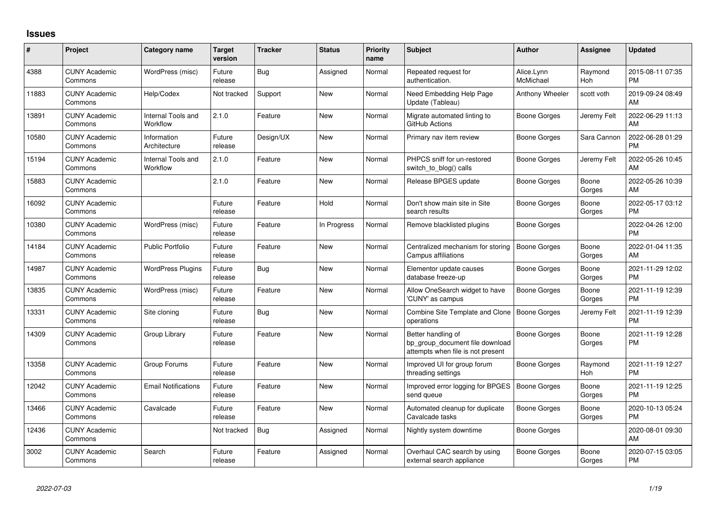## **Issues**

| #     | Project                         | <b>Category name</b>           | <b>Target</b><br>version | <b>Tracker</b> | <b>Status</b> | Priority<br>name | <b>Subject</b>                                                                             | <b>Author</b>           | Assignee        | <b>Updated</b>                |
|-------|---------------------------------|--------------------------------|--------------------------|----------------|---------------|------------------|--------------------------------------------------------------------------------------------|-------------------------|-----------------|-------------------------------|
| 4388  | <b>CUNY Academic</b><br>Commons | WordPress (misc)               | Future<br>release        | Bug            | Assigned      | Normal           | Repeated request for<br>authentication.                                                    | Alice.Lynn<br>McMichael | Raymond<br>Hoh  | 2015-08-11 07:35<br><b>PM</b> |
| 11883 | <b>CUNY Academic</b><br>Commons | Help/Codex                     | Not tracked              | Support        | New           | Normal           | Need Embedding Help Page<br>Update (Tableau)                                               | Anthony Wheeler         | scott voth      | 2019-09-24 08:49<br>AM        |
| 13891 | <b>CUNY Academic</b><br>Commons | Internal Tools and<br>Workflow | 2.1.0                    | Feature        | New           | Normal           | Migrate automated linting to<br>GitHub Actions                                             | Boone Gorges            | Jeremy Felt     | 2022-06-29 11:13<br>AM        |
| 10580 | <b>CUNY Academic</b><br>Commons | Information<br>Architecture    | Future<br>release        | Design/UX      | New           | Normal           | Primary nav item review                                                                    | Boone Gorges            | Sara Cannon     | 2022-06-28 01:29<br><b>PM</b> |
| 15194 | <b>CUNY Academic</b><br>Commons | Internal Tools and<br>Workflow | 2.1.0                    | Feature        | <b>New</b>    | Normal           | PHPCS sniff for un-restored<br>switch to blog() calls                                      | Boone Gorges            | Jeremy Felt     | 2022-05-26 10:45<br>AM        |
| 15883 | <b>CUNY Academic</b><br>Commons |                                | 2.1.0                    | Feature        | New           | Normal           | Release BPGES update                                                                       | Boone Gorges            | Boone<br>Gorges | 2022-05-26 10:39<br>AM        |
| 16092 | <b>CUNY Academic</b><br>Commons |                                | Future<br>release        | Feature        | Hold          | Normal           | Don't show main site in Site<br>search results                                             | Boone Gorges            | Boone<br>Gorges | 2022-05-17 03:12<br><b>PM</b> |
| 10380 | <b>CUNY Academic</b><br>Commons | WordPress (misc)               | Future<br>release        | Feature        | In Progress   | Normal           | Remove blacklisted plugins                                                                 | Boone Gorges            |                 | 2022-04-26 12:00<br><b>PM</b> |
| 14184 | <b>CUNY Academic</b><br>Commons | <b>Public Portfolio</b>        | Future<br>release        | Feature        | <b>New</b>    | Normal           | Centralized mechanism for storing<br>Campus affiliations                                   | Boone Gorges            | Boone<br>Gorges | 2022-01-04 11:35<br>AM        |
| 14987 | <b>CUNY Academic</b><br>Commons | <b>WordPress Plugins</b>       | Future<br>release        | Bug            | New           | Normal           | Elementor update causes<br>database freeze-up                                              | Boone Gorges            | Boone<br>Gorges | 2021-11-29 12:02<br><b>PM</b> |
| 13835 | <b>CUNY Academic</b><br>Commons | WordPress (misc)               | Future<br>release        | Feature        | <b>New</b>    | Normal           | Allow OneSearch widget to have<br>'CUNY' as campus                                         | Boone Gorges            | Boone<br>Gorges | 2021-11-19 12:39<br><b>PM</b> |
| 13331 | <b>CUNY Academic</b><br>Commons | Site cloning                   | Future<br>release        | Bug            | New           | Normal           | Combine Site Template and Clone<br>operations                                              | <b>Boone Gorges</b>     | Jeremy Felt     | 2021-11-19 12:39<br><b>PM</b> |
| 14309 | <b>CUNY Academic</b><br>Commons | Group Library                  | Future<br>release        | Feature        | <b>New</b>    | Normal           | Better handling of<br>bp_group_document file download<br>attempts when file is not present | <b>Boone Gorges</b>     | Boone<br>Gorges | 2021-11-19 12:28<br><b>PM</b> |
| 13358 | <b>CUNY Academic</b><br>Commons | Group Forums                   | Future<br>release        | Feature        | New           | Normal           | Improved UI for group forum<br>threading settings                                          | Boone Gorges            | Raymond<br>Hoh  | 2021-11-19 12:27<br><b>PM</b> |
| 12042 | <b>CUNY Academic</b><br>Commons | <b>Email Notifications</b>     | Future<br>release        | Feature        | New           | Normal           | Improved error logging for BPGES<br>send queue                                             | <b>Boone Gorges</b>     | Boone<br>Gorges | 2021-11-19 12:25<br><b>PM</b> |
| 13466 | <b>CUNY Academic</b><br>Commons | Cavalcade                      | Future<br>release        | Feature        | New           | Normal           | Automated cleanup for duplicate<br>Cavalcade tasks                                         | Boone Gorges            | Boone<br>Gorges | 2020-10-13 05:24<br><b>PM</b> |
| 12436 | <b>CUNY Academic</b><br>Commons |                                | Not tracked              | Bug            | Assigned      | Normal           | Nightly system downtime                                                                    | Boone Gorges            |                 | 2020-08-01 09:30<br>AM        |
| 3002  | <b>CUNY Academic</b><br>Commons | Search                         | Future<br>release        | Feature        | Assigned      | Normal           | Overhaul CAC search by using<br>external search appliance                                  | Boone Gorges            | Boone<br>Gorges | 2020-07-15 03:05<br>PM        |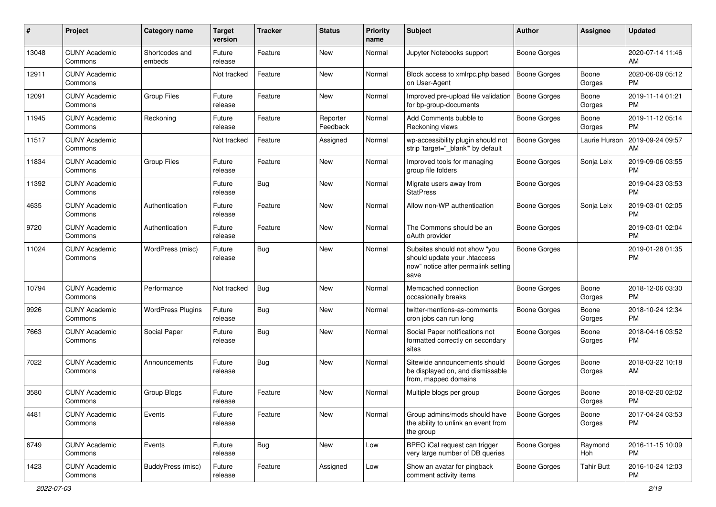| #     | Project                         | <b>Category name</b>     | <b>Target</b><br>version | <b>Tracker</b> | <b>Status</b>        | <b>Priority</b><br>name | <b>Subject</b>                                                                                               | Author              | <b>Assignee</b>   | <b>Updated</b>                |
|-------|---------------------------------|--------------------------|--------------------------|----------------|----------------------|-------------------------|--------------------------------------------------------------------------------------------------------------|---------------------|-------------------|-------------------------------|
| 13048 | <b>CUNY Academic</b><br>Commons | Shortcodes and<br>embeds | Future<br>release        | Feature        | <b>New</b>           | Normal                  | Jupyter Notebooks support                                                                                    | <b>Boone Gorges</b> |                   | 2020-07-14 11:46<br>AM        |
| 12911 | <b>CUNY Academic</b><br>Commons |                          | Not tracked              | Feature        | New                  | Normal                  | Block access to xmlrpc.php based<br>on User-Agent                                                            | <b>Boone Gorges</b> | Boone<br>Gorges   | 2020-06-09 05:12<br><b>PM</b> |
| 12091 | <b>CUNY Academic</b><br>Commons | <b>Group Files</b>       | Future<br>release        | Feature        | <b>New</b>           | Normal                  | Improved pre-upload file validation<br>for bp-group-documents                                                | Boone Gorges        | Boone<br>Gorges   | 2019-11-14 01:21<br><b>PM</b> |
| 11945 | <b>CUNY Academic</b><br>Commons | Reckoning                | Future<br>release        | Feature        | Reporter<br>Feedback | Normal                  | Add Comments bubble to<br>Reckoning views                                                                    | Boone Gorges        | Boone<br>Gorges   | 2019-11-12 05:14<br><b>PM</b> |
| 11517 | <b>CUNY Academic</b><br>Commons |                          | Not tracked              | Feature        | Assigned             | Normal                  | wp-accessibility plugin should not<br>strip 'target=" blank" by default                                      | Boone Gorges        | Laurie Hurson     | 2019-09-24 09:57<br>AM        |
| 11834 | <b>CUNY Academic</b><br>Commons | <b>Group Files</b>       | Future<br>release        | Feature        | <b>New</b>           | Normal                  | Improved tools for managing<br>group file folders                                                            | <b>Boone Gorges</b> | Sonja Leix        | 2019-09-06 03:55<br><b>PM</b> |
| 11392 | <b>CUNY Academic</b><br>Commons |                          | Future<br>release        | Bug            | <b>New</b>           | Normal                  | Migrate users away from<br><b>StatPress</b>                                                                  | <b>Boone Gorges</b> |                   | 2019-04-23 03:53<br><b>PM</b> |
| 4635  | <b>CUNY Academic</b><br>Commons | Authentication           | Future<br>release        | Feature        | <b>New</b>           | Normal                  | Allow non-WP authentication                                                                                  | <b>Boone Gorges</b> | Sonja Leix        | 2019-03-01 02:05<br><b>PM</b> |
| 9720  | <b>CUNY Academic</b><br>Commons | Authentication           | Future<br>release        | Feature        | New                  | Normal                  | The Commons should be an<br>oAuth provider                                                                   | Boone Gorges        |                   | 2019-03-01 02:04<br><b>PM</b> |
| 11024 | <b>CUNY Academic</b><br>Commons | WordPress (misc)         | Future<br>release        | Bug            | <b>New</b>           | Normal                  | Subsites should not show "you<br>should update your .htaccess<br>now" notice after permalink setting<br>save | <b>Boone Gorges</b> |                   | 2019-01-28 01:35<br><b>PM</b> |
| 10794 | <b>CUNY Academic</b><br>Commons | Performance              | Not tracked              | Bug            | New                  | Normal                  | Memcached connection<br>occasionally breaks                                                                  | <b>Boone Gorges</b> | Boone<br>Gorges   | 2018-12-06 03:30<br><b>PM</b> |
| 9926  | <b>CUNY Academic</b><br>Commons | <b>WordPress Plugins</b> | Future<br>release        | Bug            | New                  | Normal                  | twitter-mentions-as-comments<br>cron jobs can run long                                                       | Boone Gorges        | Boone<br>Gorges   | 2018-10-24 12:34<br><b>PM</b> |
| 7663  | <b>CUNY Academic</b><br>Commons | Social Paper             | Future<br>release        | Bug            | <b>New</b>           | Normal                  | Social Paper notifications not<br>formatted correctly on secondary<br>sites                                  | Boone Gorges        | Boone<br>Gorges   | 2018-04-16 03:52<br><b>PM</b> |
| 7022  | <b>CUNY Academic</b><br>Commons | Announcements            | Future<br>release        | Bug            | <b>New</b>           | Normal                  | Sitewide announcements should<br>be displayed on, and dismissable<br>from, mapped domains                    | <b>Boone Gorges</b> | Boone<br>Gorges   | 2018-03-22 10:18<br>AM        |
| 3580  | <b>CUNY Academic</b><br>Commons | Group Blogs              | Future<br>release        | Feature        | <b>New</b>           | Normal                  | Multiple blogs per group                                                                                     | Boone Gorges        | Boone<br>Gorges   | 2018-02-20 02:02<br><b>PM</b> |
| 4481  | <b>CUNY Academic</b><br>Commons | Events                   | Future<br>release        | Feature        | New                  | Normal                  | Group admins/mods should have<br>the ability to unlink an event from<br>the group                            | <b>Boone Gorges</b> | Boone<br>Gorges   | 2017-04-24 03:53<br><b>PM</b> |
| 6749  | <b>CUNY Academic</b><br>Commons | Events                   | Future<br>release        | Bug            | New                  | Low                     | BPEO iCal request can trigger<br>very large number of DB queries                                             | Boone Gorges        | Raymond<br>Hoh    | 2016-11-15 10:09<br><b>PM</b> |
| 1423  | <b>CUNY Academic</b><br>Commons | BuddyPress (misc)        | Future<br>release        | Feature        | Assigned             | Low                     | Show an avatar for pingback<br>comment activity items                                                        | Boone Gorges        | <b>Tahir Butt</b> | 2016-10-24 12:03<br>PM        |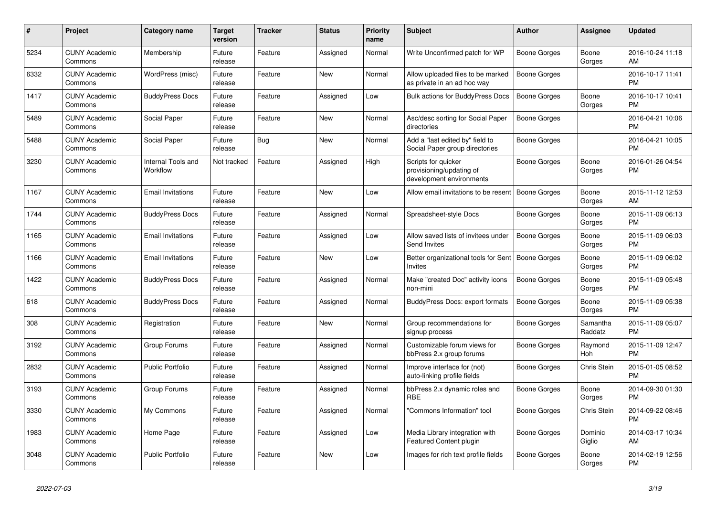| #    | <b>Project</b>                  | <b>Category name</b>           | <b>Target</b><br>version | <b>Tracker</b> | <b>Status</b> | <b>Priority</b><br>name | <b>Subject</b>                                                              | <b>Author</b>       | Assignee            | <b>Updated</b>                |
|------|---------------------------------|--------------------------------|--------------------------|----------------|---------------|-------------------------|-----------------------------------------------------------------------------|---------------------|---------------------|-------------------------------|
| 5234 | <b>CUNY Academic</b><br>Commons | Membership                     | Future<br>release        | Feature        | Assigned      | Normal                  | Write Unconfirmed patch for WP                                              | Boone Gorges        | Boone<br>Gorges     | 2016-10-24 11:18<br>AM        |
| 6332 | <b>CUNY Academic</b><br>Commons | WordPress (misc)               | Future<br>release        | Feature        | New           | Normal                  | Allow uploaded files to be marked<br>as private in an ad hoc way            | <b>Boone Gorges</b> |                     | 2016-10-17 11:41<br><b>PM</b> |
| 1417 | <b>CUNY Academic</b><br>Commons | <b>BuddyPress Docs</b>         | Future<br>release        | Feature        | Assigned      | Low                     | <b>Bulk actions for BuddyPress Docs</b>                                     | Boone Gorges        | Boone<br>Gorges     | 2016-10-17 10:41<br><b>PM</b> |
| 5489 | <b>CUNY Academic</b><br>Commons | Social Paper                   | Future<br>release        | Feature        | <b>New</b>    | Normal                  | Asc/desc sorting for Social Paper<br>directories                            | Boone Gorges        |                     | 2016-04-21 10:06<br><b>PM</b> |
| 5488 | <b>CUNY Academic</b><br>Commons | Social Paper                   | Future<br>release        | Bug            | New           | Normal                  | Add a "last edited by" field to<br>Social Paper group directories           | Boone Gorges        |                     | 2016-04-21 10:05<br><b>PM</b> |
| 3230 | <b>CUNY Academic</b><br>Commons | Internal Tools and<br>Workflow | Not tracked              | Feature        | Assigned      | High                    | Scripts for quicker<br>provisioning/updating of<br>development environments | Boone Gorges        | Boone<br>Gorges     | 2016-01-26 04:54<br><b>PM</b> |
| 1167 | <b>CUNY Academic</b><br>Commons | <b>Email Invitations</b>       | Future<br>release        | Feature        | <b>New</b>    | Low                     | Allow email invitations to be resent                                        | <b>Boone Gorges</b> | Boone<br>Gorges     | 2015-11-12 12:53<br>AM        |
| 1744 | <b>CUNY Academic</b><br>Commons | <b>BuddyPress Docs</b>         | Future<br>release        | Feature        | Assigned      | Normal                  | Spreadsheet-style Docs                                                      | Boone Gorges        | Boone<br>Gorges     | 2015-11-09 06:13<br><b>PM</b> |
| 1165 | <b>CUNY Academic</b><br>Commons | <b>Email Invitations</b>       | Future<br>release        | Feature        | Assigned      | Low                     | Allow saved lists of invitees under<br>Send Invites                         | <b>Boone Gorges</b> | Boone<br>Gorges     | 2015-11-09 06:03<br><b>PM</b> |
| 1166 | <b>CUNY Academic</b><br>Commons | <b>Email Invitations</b>       | Future<br>release        | Feature        | <b>New</b>    | Low                     | Better organizational tools for Sent<br><b>Invites</b>                      | Boone Gorges        | Boone<br>Gorges     | 2015-11-09 06:02<br><b>PM</b> |
| 1422 | <b>CUNY Academic</b><br>Commons | <b>BuddyPress Docs</b>         | Future<br>release        | Feature        | Assigned      | Normal                  | Make "created Doc" activity icons<br>non-mini                               | <b>Boone Gorges</b> | Boone<br>Gorges     | 2015-11-09 05:48<br><b>PM</b> |
| 618  | <b>CUNY Academic</b><br>Commons | <b>BuddyPress Docs</b>         | Future<br>release        | Feature        | Assigned      | Normal                  | <b>BuddyPress Docs: export formats</b>                                      | <b>Boone Gorges</b> | Boone<br>Gorges     | 2015-11-09 05:38<br><b>PM</b> |
| 308  | <b>CUNY Academic</b><br>Commons | Registration                   | Future<br>release        | Feature        | <b>New</b>    | Normal                  | Group recommendations for<br>signup process                                 | Boone Gorges        | Samantha<br>Raddatz | 2015-11-09 05:07<br><b>PM</b> |
| 3192 | <b>CUNY Academic</b><br>Commons | Group Forums                   | Future<br>release        | Feature        | Assigned      | Normal                  | Customizable forum views for<br>bbPress 2.x group forums                    | Boone Gorges        | Raymond<br>Hoh      | 2015-11-09 12:47<br><b>PM</b> |
| 2832 | <b>CUNY Academic</b><br>Commons | <b>Public Portfolio</b>        | Future<br>release        | Feature        | Assigned      | Normal                  | Improve interface for (not)<br>auto-linking profile fields                  | Boone Gorges        | Chris Stein         | 2015-01-05 08:52<br><b>PM</b> |
| 3193 | <b>CUNY Academic</b><br>Commons | Group Forums                   | Future<br>release        | Feature        | Assigned      | Normal                  | bbPress 2.x dynamic roles and<br><b>RBE</b>                                 | <b>Boone Gorges</b> | Boone<br>Gorges     | 2014-09-30 01:30<br><b>PM</b> |
| 3330 | <b>CUNY Academic</b><br>Commons | My Commons                     | Future<br>release        | Feature        | Assigned      | Normal                  | "Commons Information" tool                                                  | Boone Gorges        | Chris Stein         | 2014-09-22 08:46<br><b>PM</b> |
| 1983 | <b>CUNY Academic</b><br>Commons | Home Page                      | Future<br>release        | Feature        | Assigned      | Low                     | Media Library integration with<br><b>Featured Content plugin</b>            | Boone Gorges        | Dominic<br>Giglio   | 2014-03-17 10:34<br>AM        |
| 3048 | <b>CUNY Academic</b><br>Commons | Public Portfolio               | Future<br>release        | Feature        | <b>New</b>    | Low                     | Images for rich text profile fields                                         | Boone Gorges        | Boone<br>Gorges     | 2014-02-19 12:56<br><b>PM</b> |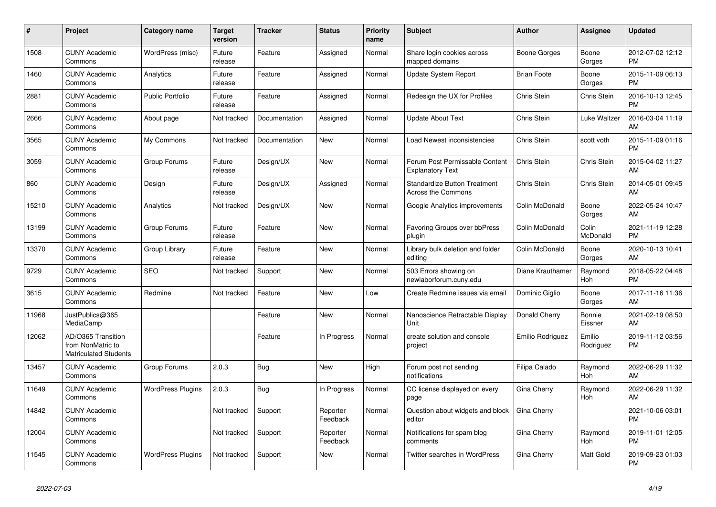| #     | Project                                                          | <b>Category name</b>     | <b>Target</b><br>version | <b>Tracker</b> | <b>Status</b>        | <b>Priority</b><br>name | <b>Subject</b>                                                   | <b>Author</b>      | Assignee            | <b>Updated</b>                |
|-------|------------------------------------------------------------------|--------------------------|--------------------------|----------------|----------------------|-------------------------|------------------------------------------------------------------|--------------------|---------------------|-------------------------------|
| 1508  | <b>CUNY Academic</b><br>Commons                                  | WordPress (misc)         | Future<br>release        | Feature        | Assigned             | Normal                  | Share login cookies across<br>mapped domains                     | Boone Gorges       | Boone<br>Gorges     | 2012-07-02 12:12<br><b>PM</b> |
| 1460  | <b>CUNY Academic</b><br>Commons                                  | Analytics                | Future<br>release        | Feature        | Assigned             | Normal                  | <b>Update System Report</b>                                      | <b>Brian Foote</b> | Boone<br>Gorges     | 2015-11-09 06:13<br><b>PM</b> |
| 2881  | <b>CUNY Academic</b><br>Commons                                  | <b>Public Portfolio</b>  | Future<br>release        | Feature        | Assigned             | Normal                  | Redesign the UX for Profiles                                     | Chris Stein        | Chris Stein         | 2016-10-13 12:45<br><b>PM</b> |
| 2666  | <b>CUNY Academic</b><br>Commons                                  | About page               | Not tracked              | Documentation  | Assigned             | Normal                  | <b>Update About Text</b>                                         | Chris Stein        | Luke Waltzer        | 2016-03-04 11:19<br>AM        |
| 3565  | <b>CUNY Academic</b><br>Commons                                  | My Commons               | Not tracked              | Documentation  | New                  | Normal                  | Load Newest inconsistencies                                      | Chris Stein        | scott voth          | 2015-11-09 01:16<br><b>PM</b> |
| 3059  | <b>CUNY Academic</b><br>Commons                                  | Group Forums             | Future<br>release        | Design/UX      | New                  | Normal                  | Forum Post Permissable Content<br><b>Explanatory Text</b>        | Chris Stein        | Chris Stein         | 2015-04-02 11:27<br>AM        |
| 860   | <b>CUNY Academic</b><br>Commons                                  | Design                   | Future<br>release        | Design/UX      | Assigned             | Normal                  | <b>Standardize Button Treatment</b><br><b>Across the Commons</b> | Chris Stein        | Chris Stein         | 2014-05-01 09:45<br>AM        |
| 15210 | <b>CUNY Academic</b><br>Commons                                  | Analytics                | Not tracked              | Design/UX      | <b>New</b>           | Normal                  | Google Analytics improvements                                    | Colin McDonald     | Boone<br>Gorges     | 2022-05-24 10:47<br>AM        |
| 13199 | <b>CUNY Academic</b><br>Commons                                  | Group Forums             | Future<br>release        | Feature        | <b>New</b>           | Normal                  | Favoring Groups over bbPress<br>plugin                           | Colin McDonald     | Colin<br>McDonald   | 2021-11-19 12:28<br><b>PM</b> |
| 13370 | <b>CUNY Academic</b><br>Commons                                  | Group Library            | Future<br>release        | Feature        | New                  | Normal                  | Library bulk deletion and folder<br>editing                      | Colin McDonald     | Boone<br>Gorges     | 2020-10-13 10:41<br>AM        |
| 9729  | <b>CUNY Academic</b><br>Commons                                  | <b>SEO</b>               | Not tracked              | Support        | <b>New</b>           | Normal                  | 503 Errors showing on<br>newlaborforum.cuny.edu                  | Diane Krauthamer   | Raymond<br>Hoh      | 2018-05-22 04:48<br><b>PM</b> |
| 3615  | <b>CUNY Academic</b><br>Commons                                  | Redmine                  | Not tracked              | Feature        | New                  | Low                     | Create Redmine issues via email                                  | Dominic Giglio     | Boone<br>Gorges     | 2017-11-16 11:36<br>AM        |
| 11968 | JustPublics@365<br>MediaCamp                                     |                          |                          | Feature        | New                  | Normal                  | Nanoscience Retractable Display<br>Unit                          | Donald Cherry      | Bonnie<br>Eissner   | 2021-02-19 08:50<br>AM        |
| 12062 | AD/O365 Transition<br>from NonMatric to<br>Matriculated Students |                          |                          | Feature        | In Progress          | Normal                  | create solution and console<br>project                           | Emilio Rodriguez   | Emilio<br>Rodriguez | 2019-11-12 03:56<br><b>PM</b> |
| 13457 | <b>CUNY Academic</b><br>Commons                                  | Group Forums             | 2.0.3                    | <b>Bug</b>     | <b>New</b>           | High                    | Forum post not sending<br>notifications                          | Filipa Calado      | Raymond<br>Hoh      | 2022-06-29 11:32<br>AM        |
| 11649 | <b>CUNY Academic</b><br>Commons                                  | <b>WordPress Plugins</b> | 2.0.3                    | Bug            | In Progress          | Normal                  | CC license displayed on every<br>page                            | Gina Cherry        | Raymond<br>Hoh      | 2022-06-29 11:32<br>AM        |
| 14842 | <b>CUNY Academic</b><br>Commons                                  |                          | Not tracked              | Support        | Reporter<br>Feedback | Normal                  | Question about widgets and block<br>editor                       | Gina Cherry        |                     | 2021-10-06 03:01<br><b>PM</b> |
| 12004 | <b>CUNY Academic</b><br>Commons                                  |                          | Not tracked              | Support        | Reporter<br>Feedback | Normal                  | Notifications for spam blog<br>comments                          | Gina Cherry        | Raymond<br>Hoh      | 2019-11-01 12:05<br><b>PM</b> |
| 11545 | <b>CUNY Academic</b><br>Commons                                  | <b>WordPress Plugins</b> | Not tracked              | Support        | <b>New</b>           | Normal                  | <b>Twitter searches in WordPress</b>                             | Gina Cherry        | Matt Gold           | 2019-09-23 01:03<br><b>PM</b> |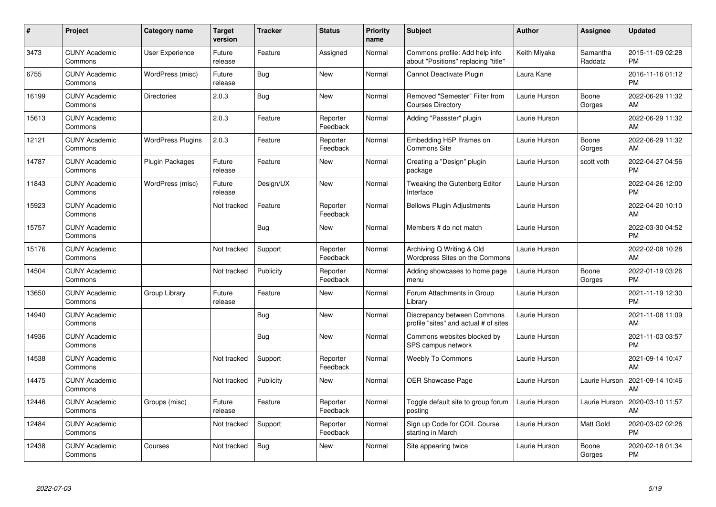| #     | <b>Project</b>                  | Category name            | <b>Target</b><br>version | <b>Tracker</b> | <b>Status</b>        | <b>Priority</b><br>name | <b>Subject</b>                                                        | Author        | <b>Assignee</b>     | <b>Updated</b>                |
|-------|---------------------------------|--------------------------|--------------------------|----------------|----------------------|-------------------------|-----------------------------------------------------------------------|---------------|---------------------|-------------------------------|
| 3473  | <b>CUNY Academic</b><br>Commons | User Experience          | Future<br>release        | Feature        | Assigned             | Normal                  | Commons profile: Add help info<br>about "Positions" replacing "title" | Keith Miyake  | Samantha<br>Raddatz | 2015-11-09 02:28<br><b>PM</b> |
| 6755  | <b>CUNY Academic</b><br>Commons | WordPress (misc)         | Future<br>release        | Bug            | <b>New</b>           | Normal                  | Cannot Deactivate Plugin                                              | Laura Kane    |                     | 2016-11-16 01:12<br><b>PM</b> |
| 16199 | <b>CUNY Academic</b><br>Commons | <b>Directories</b>       | 2.0.3                    | <b>Bug</b>     | New                  | Normal                  | Removed "Semester" Filter from<br><b>Courses Directory</b>            | Laurie Hurson | Boone<br>Gorges     | 2022-06-29 11:32<br>AM        |
| 15613 | <b>CUNY Academic</b><br>Commons |                          | 2.0.3                    | Feature        | Reporter<br>Feedback | Normal                  | Adding "Passster" plugin                                              | Laurie Hurson |                     | 2022-06-29 11:32<br>AM        |
| 12121 | <b>CUNY Academic</b><br>Commons | <b>WordPress Plugins</b> | 2.0.3                    | Feature        | Reporter<br>Feedback | Normal                  | Embedding H5P Iframes on<br><b>Commons Site</b>                       | Laurie Hurson | Boone<br>Gorges     | 2022-06-29 11:32<br>AM        |
| 14787 | <b>CUNY Academic</b><br>Commons | Plugin Packages          | Future<br>release        | Feature        | <b>New</b>           | Normal                  | Creating a "Design" plugin<br>package                                 | Laurie Hurson | scott voth          | 2022-04-27 04:56<br><b>PM</b> |
| 11843 | <b>CUNY Academic</b><br>Commons | WordPress (misc)         | Future<br>release        | Design/UX      | <b>New</b>           | Normal                  | Tweaking the Gutenberg Editor<br>Interface                            | Laurie Hurson |                     | 2022-04-26 12:00<br><b>PM</b> |
| 15923 | <b>CUNY Academic</b><br>Commons |                          | Not tracked              | Feature        | Reporter<br>Feedback | Normal                  | <b>Bellows Plugin Adjustments</b>                                     | Laurie Hurson |                     | 2022-04-20 10:10<br>AM        |
| 15757 | <b>CUNY Academic</b><br>Commons |                          |                          | Bug            | <b>New</b>           | Normal                  | Members # do not match                                                | Laurie Hurson |                     | 2022-03-30 04:52<br><b>PM</b> |
| 15176 | <b>CUNY Academic</b><br>Commons |                          | Not tracked              | Support        | Reporter<br>Feedback | Normal                  | Archiving Q Writing & Old<br>Wordpress Sites on the Commons           | Laurie Hurson |                     | 2022-02-08 10:28<br>AM        |
| 14504 | <b>CUNY Academic</b><br>Commons |                          | Not tracked              | Publicity      | Reporter<br>Feedback | Normal                  | Adding showcases to home page<br>menu                                 | Laurie Hurson | Boone<br>Gorges     | 2022-01-19 03:26<br><b>PM</b> |
| 13650 | <b>CUNY Academic</b><br>Commons | Group Library            | Future<br>release        | Feature        | <b>New</b>           | Normal                  | Forum Attachments in Group<br>Library                                 | Laurie Hurson |                     | 2021-11-19 12:30<br><b>PM</b> |
| 14940 | <b>CUNY Academic</b><br>Commons |                          |                          | Bug            | New                  | Normal                  | Discrepancy between Commons<br>profile "sites" and actual # of sites  | Laurie Hurson |                     | 2021-11-08 11:09<br>AM        |
| 14936 | <b>CUNY Academic</b><br>Commons |                          |                          | Bug            | <b>New</b>           | Normal                  | Commons websites blocked by<br>SPS campus network                     | Laurie Hurson |                     | 2021-11-03 03:57<br><b>PM</b> |
| 14538 | <b>CUNY Academic</b><br>Commons |                          | Not tracked              | Support        | Reporter<br>Feedback | Normal                  | <b>Weebly To Commons</b>                                              | Laurie Hurson |                     | 2021-09-14 10:47<br>AM        |
| 14475 | <b>CUNY Academic</b><br>Commons |                          | Not tracked              | Publicity      | <b>New</b>           | Normal                  | <b>OER Showcase Page</b>                                              | Laurie Hurson | Laurie Hurson       | 2021-09-14 10:46<br>AM        |
| 12446 | <b>CUNY Academic</b><br>Commons | Groups (misc)            | Future<br>release        | Feature        | Reporter<br>Feedback | Normal                  | Toggle default site to group forum<br>posting                         | Laurie Hurson | Laurie Hurson       | 2020-03-10 11:57<br>AM        |
| 12484 | <b>CUNY Academic</b><br>Commons |                          | Not tracked              | Support        | Reporter<br>Feedback | Normal                  | Sign up Code for COIL Course<br>starting in March                     | Laurie Hurson | Matt Gold           | 2020-03-02 02:26<br><b>PM</b> |
| 12438 | <b>CUNY Academic</b><br>Commons | Courses                  | Not tracked              | Bug            | <b>New</b>           | Normal                  | Site appearing twice                                                  | Laurie Hurson | Boone<br>Gorges     | 2020-02-18 01:34<br><b>PM</b> |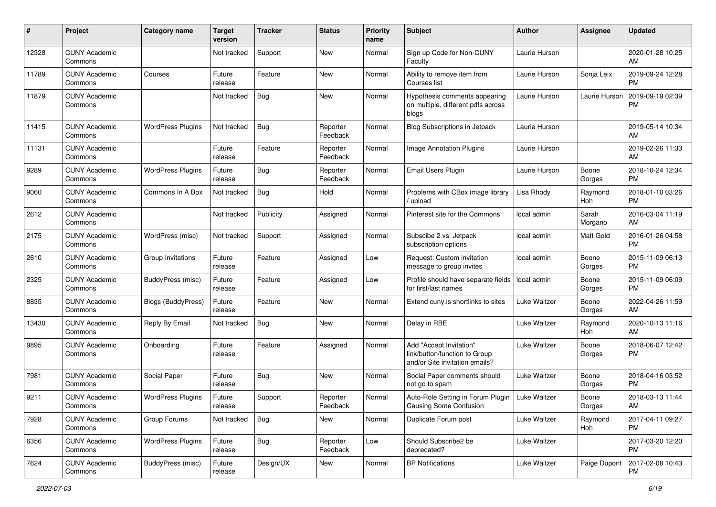| #     | Project                         | <b>Category name</b>     | Target<br>version | <b>Tracker</b> | <b>Status</b>        | <b>Priority</b><br>name | <b>Subject</b>                                                                             | <b>Author</b>       | <b>Assignee</b>  | <b>Updated</b>                |
|-------|---------------------------------|--------------------------|-------------------|----------------|----------------------|-------------------------|--------------------------------------------------------------------------------------------|---------------------|------------------|-------------------------------|
| 12328 | <b>CUNY Academic</b><br>Commons |                          | Not tracked       | Support        | New                  | Normal                  | Sign up Code for Non-CUNY<br>Faculty                                                       | Laurie Hurson       |                  | 2020-01-28 10:25<br>AM        |
| 11789 | <b>CUNY Academic</b><br>Commons | Courses                  | Future<br>release | Feature        | New                  | Normal                  | Ability to remove item from<br>Courses list                                                | Laurie Hurson       | Sonja Leix       | 2019-09-24 12:28<br><b>PM</b> |
| 11879 | <b>CUNY Academic</b><br>Commons |                          | Not tracked       | Bug            | New                  | Normal                  | Hypothesis comments appearing<br>on multiple, different pdfs across<br>blogs               | Laurie Hurson       | Laurie Hurson    | 2019-09-19 02:39<br><b>PM</b> |
| 11415 | <b>CUNY Academic</b><br>Commons | <b>WordPress Plugins</b> | Not tracked       | Bug            | Reporter<br>Feedback | Normal                  | <b>Blog Subscriptions in Jetpack</b>                                                       | Laurie Hurson       |                  | 2019-05-14 10:34<br>AM        |
| 11131 | <b>CUNY Academic</b><br>Commons |                          | Future<br>release | Feature        | Reporter<br>Feedback | Normal                  | <b>Image Annotation Plugins</b>                                                            | Laurie Hurson       |                  | 2019-02-26 11:33<br>AM        |
| 9289  | <b>CUNY Academic</b><br>Commons | <b>WordPress Plugins</b> | Future<br>release | Bug            | Reporter<br>Feedback | Normal                  | Email Users Plugin                                                                         | Laurie Hurson       | Boone<br>Gorges  | 2018-10-24 12:34<br><b>PM</b> |
| 9060  | <b>CUNY Academic</b><br>Commons | Commons In A Box         | Not tracked       | Bug            | Hold                 | Normal                  | Problems with CBox image library<br>upload                                                 | Lisa Rhody          | Raymond<br>Hoh   | 2018-01-10 03:26<br><b>PM</b> |
| 2612  | <b>CUNY Academic</b><br>Commons |                          | Not tracked       | Publicity      | Assigned             | Normal                  | Pinterest site for the Commons                                                             | local admin         | Sarah<br>Morgano | 2016-03-04 11:19<br>AM        |
| 2175  | <b>CUNY Academic</b><br>Commons | WordPress (misc)         | Not tracked       | Support        | Assigned             | Normal                  | Subscibe 2 vs. Jetpack<br>subscription options                                             | local admin         | Matt Gold        | 2016-01-26 04:58<br><b>PM</b> |
| 2610  | <b>CUNY Academic</b><br>Commons | Group Invitations        | Future<br>release | Feature        | Assigned             | Low                     | Request: Custom invitation<br>message to group invites                                     | local admin         | Boone<br>Gorges  | 2015-11-09 06:13<br><b>PM</b> |
| 2325  | <b>CUNY Academic</b><br>Commons | BuddyPress (misc)        | Future<br>release | Feature        | Assigned             | Low                     | Profile should have separate fields<br>for first/last names                                | local admin         | Boone<br>Gorges  | 2015-11-09 06:09<br><b>PM</b> |
| 8835  | <b>CUNY Academic</b><br>Commons | Blogs (BuddyPress)       | Future<br>release | Feature        | New                  | Normal                  | Extend cuny.is shortlinks to sites                                                         | Luke Waltzer        | Boone<br>Gorges  | 2022-04-26 11:59<br>AM        |
| 13430 | <b>CUNY Academic</b><br>Commons | Reply By Email           | Not tracked       | Bug            | <b>New</b>           | Normal                  | Delay in RBE                                                                               | Luke Waltzer        | Raymond<br>Hoh   | 2020-10-13 11:16<br>AM        |
| 9895  | <b>CUNY Academic</b><br>Commons | Onboarding               | Future<br>release | Feature        | Assigned             | Normal                  | Add "Accept Invitation"<br>link/button/function to Group<br>and/or Site invitation emails? | Luke Waltzer        | Boone<br>Gorges  | 2018-06-07 12:42<br><b>PM</b> |
| 7981  | <b>CUNY Academic</b><br>Commons | Social Paper             | Future<br>release | Bug            | New                  | Normal                  | Social Paper comments should<br>not go to spam                                             | Luke Waltzer        | Boone<br>Gorges  | 2018-04-16 03:52<br>PM        |
| 9211  | <b>CUNY Academic</b><br>Commons | <b>WordPress Plugins</b> | Future<br>release | Support        | Reporter<br>Feedback | Normal                  | Auto-Role Setting in Forum Plugin<br><b>Causing Some Confusion</b>                         | <b>Luke Waltzer</b> | Boone<br>Gorges  | 2018-03-13 11:44<br>AM        |
| 7928  | <b>CUNY Academic</b><br>Commons | Group Forums             | Not tracked       | Bug            | New                  | Normal                  | Duplicate Forum post                                                                       | Luke Waltzer        | Raymond<br>Hoh   | 2017-04-11 09:27<br><b>PM</b> |
| 6356  | <b>CUNY Academic</b><br>Commons | <b>WordPress Plugins</b> | Future<br>release | <b>Bug</b>     | Reporter<br>Feedback | Low                     | Should Subscribe2 be<br>deprecated?                                                        | Luke Waltzer        |                  | 2017-03-20 12:20<br><b>PM</b> |
| 7624  | <b>CUNY Academic</b><br>Commons | BuddyPress (misc)        | Future<br>release | Design/UX      | New                  | Normal                  | <b>BP Notifications</b>                                                                    | Luke Waltzer        | Paige Dupont     | 2017-02-08 10:43<br><b>PM</b> |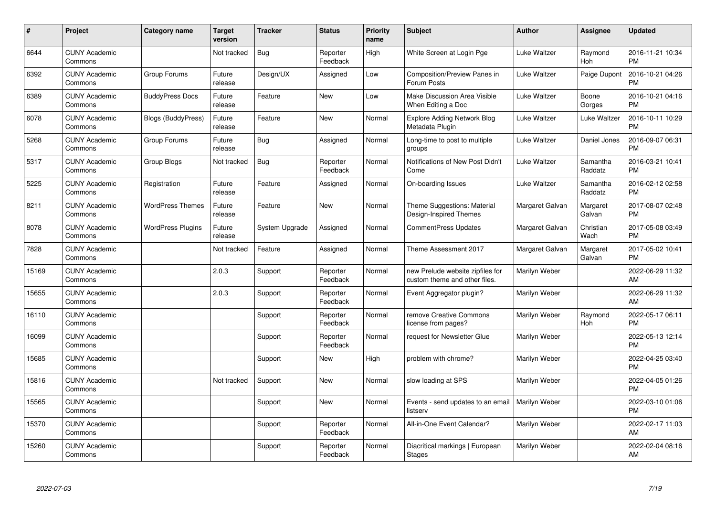| #     | Project                         | <b>Category name</b>      | <b>Target</b><br>version | <b>Tracker</b> | <b>Status</b>        | <b>Priority</b><br>name | <b>Subject</b>                                                    | <b>Author</b>   | <b>Assignee</b>     | <b>Updated</b>                |
|-------|---------------------------------|---------------------------|--------------------------|----------------|----------------------|-------------------------|-------------------------------------------------------------------|-----------------|---------------------|-------------------------------|
| 6644  | <b>CUNY Academic</b><br>Commons |                           | Not tracked              | Bug            | Reporter<br>Feedback | High                    | White Screen at Login Pge                                         | Luke Waltzer    | Raymond<br>Hoh      | 2016-11-21 10:34<br><b>PM</b> |
| 6392  | <b>CUNY Academic</b><br>Commons | Group Forums              | Future<br>release        | Design/UX      | Assigned             | Low                     | Composition/Preview Panes in<br>Forum Posts                       | Luke Waltzer    | Paige Dupont        | 2016-10-21 04:26<br><b>PM</b> |
| 6389  | <b>CUNY Academic</b><br>Commons | <b>BuddyPress Docs</b>    | Future<br>release        | Feature        | <b>New</b>           | Low                     | Make Discussion Area Visible<br>When Editing a Doc                | Luke Waltzer    | Boone<br>Gorges     | 2016-10-21 04:16<br><b>PM</b> |
| 6078  | <b>CUNY Academic</b><br>Commons | <b>Blogs (BuddyPress)</b> | Future<br>release        | Feature        | <b>New</b>           | Normal                  | <b>Explore Adding Network Blog</b><br>Metadata Plugin             | Luke Waltzer    | Luke Waltzer        | 2016-10-11 10:29<br><b>PM</b> |
| 5268  | <b>CUNY Academic</b><br>Commons | Group Forums              | Future<br>release        | Bug            | Assigned             | Normal                  | Long-time to post to multiple<br>groups                           | Luke Waltzer    | Daniel Jones        | 2016-09-07 06:31<br><b>PM</b> |
| 5317  | <b>CUNY Academic</b><br>Commons | Group Blogs               | Not tracked              | <b>Bug</b>     | Reporter<br>Feedback | Normal                  | Notifications of New Post Didn't<br>Come                          | Luke Waltzer    | Samantha<br>Raddatz | 2016-03-21 10:41<br><b>PM</b> |
| 5225  | <b>CUNY Academic</b><br>Commons | Registration              | Future<br>release        | Feature        | Assigned             | Normal                  | On-boarding Issues                                                | Luke Waltzer    | Samantha<br>Raddatz | 2016-02-12 02:58<br><b>PM</b> |
| 8211  | <b>CUNY Academic</b><br>Commons | <b>WordPress Themes</b>   | Future<br>release        | Feature        | <b>New</b>           | Normal                  | Theme Suggestions: Material<br>Design-Inspired Themes             | Margaret Galvan | Margaret<br>Galvan  | 2017-08-07 02:48<br><b>PM</b> |
| 8078  | <b>CUNY Academic</b><br>Commons | <b>WordPress Plugins</b>  | Future<br>release        | System Upgrade | Assigned             | Normal                  | <b>CommentPress Updates</b>                                       | Margaret Galvan | Christian<br>Wach   | 2017-05-08 03:49<br><b>PM</b> |
| 7828  | <b>CUNY Academic</b><br>Commons |                           | Not tracked              | Feature        | Assigned             | Normal                  | Theme Assessment 2017                                             | Margaret Galvan | Margaret<br>Galvan  | 2017-05-02 10:41<br><b>PM</b> |
| 15169 | <b>CUNY Academic</b><br>Commons |                           | 2.0.3                    | Support        | Reporter<br>Feedback | Normal                  | new Prelude website zipfiles for<br>custom theme and other files. | Marilyn Weber   |                     | 2022-06-29 11:32<br>AM        |
| 15655 | <b>CUNY Academic</b><br>Commons |                           | 2.0.3                    | Support        | Reporter<br>Feedback | Normal                  | Event Aggregator plugin?                                          | Marilyn Weber   |                     | 2022-06-29 11:32<br>AM        |
| 16110 | <b>CUNY Academic</b><br>Commons |                           |                          | Support        | Reporter<br>Feedback | Normal                  | remove Creative Commons<br>license from pages?                    | Marilyn Weber   | Raymond<br>Hoh      | 2022-05-17 06:11<br><b>PM</b> |
| 16099 | <b>CUNY Academic</b><br>Commons |                           |                          | Support        | Reporter<br>Feedback | Normal                  | request for Newsletter Glue                                       | Marilyn Weber   |                     | 2022-05-13 12:14<br><b>PM</b> |
| 15685 | <b>CUNY Academic</b><br>Commons |                           |                          | Support        | New                  | High                    | problem with chrome?                                              | Marilyn Weber   |                     | 2022-04-25 03:40<br><b>PM</b> |
| 15816 | <b>CUNY Academic</b><br>Commons |                           | Not tracked              | Support        | New                  | Normal                  | slow loading at SPS                                               | Marilyn Weber   |                     | 2022-04-05 01:26<br><b>PM</b> |
| 15565 | <b>CUNY Academic</b><br>Commons |                           |                          | Support        | New                  | Normal                  | Events - send updates to an email<br>listserv                     | Marilyn Weber   |                     | 2022-03-10 01:06<br><b>PM</b> |
| 15370 | <b>CUNY Academic</b><br>Commons |                           |                          | Support        | Reporter<br>Feedback | Normal                  | All-in-One Event Calendar?                                        | Marilyn Weber   |                     | 2022-02-17 11:03<br>AM        |
| 15260 | <b>CUNY Academic</b><br>Commons |                           |                          | Support        | Reporter<br>Feedback | Normal                  | Diacritical markings   European<br><b>Stages</b>                  | Marilyn Weber   |                     | 2022-02-04 08:16<br>AM        |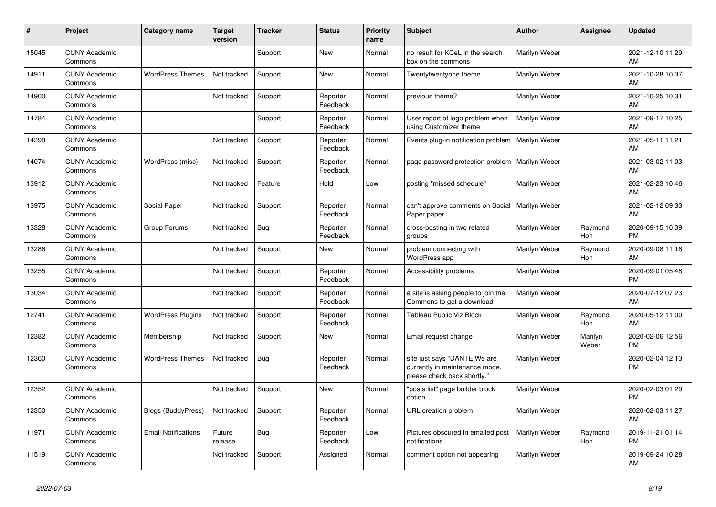| #     | Project                         | <b>Category name</b>       | <b>Target</b><br>version | <b>Tracker</b> | <b>Status</b>        | <b>Priority</b><br>name | <b>Subject</b>                                                                                | <b>Author</b>        | <b>Assignee</b>  | <b>Updated</b>                |
|-------|---------------------------------|----------------------------|--------------------------|----------------|----------------------|-------------------------|-----------------------------------------------------------------------------------------------|----------------------|------------------|-------------------------------|
| 15045 | <b>CUNY Academic</b><br>Commons |                            |                          | Support        | New                  | Normal                  | no result for KCeL in the search<br>box on the commons                                        | Marilyn Weber        |                  | 2021-12-10 11:29<br>AM        |
| 14911 | <b>CUNY Academic</b><br>Commons | <b>WordPress Themes</b>    | Not tracked              | Support        | New                  | Normal                  | Twentytwentyone theme                                                                         | Marilyn Weber        |                  | 2021-10-28 10:37<br>AM        |
| 14900 | <b>CUNY Academic</b><br>Commons |                            | Not tracked              | Support        | Reporter<br>Feedback | Normal                  | previous theme?                                                                               | Marilyn Weber        |                  | 2021-10-25 10:31<br>AM        |
| 14784 | <b>CUNY Academic</b><br>Commons |                            |                          | Support        | Reporter<br>Feedback | Normal                  | User report of logo problem when<br>using Customizer theme                                    | <b>Marilyn Weber</b> |                  | 2021-09-17 10:25<br>AM        |
| 14398 | <b>CUNY Academic</b><br>Commons |                            | Not tracked              | Support        | Reporter<br>Feedback | Normal                  | Events plug-in notification problem                                                           | Marilyn Weber        |                  | 2021-05-11 11:21<br>AM        |
| 14074 | <b>CUNY Academic</b><br>Commons | WordPress (misc)           | Not tracked              | Support        | Reporter<br>Feedback | Normal                  | page password protection problem                                                              | Marilyn Weber        |                  | 2021-03-02 11:03<br>AM        |
| 13912 | <b>CUNY Academic</b><br>Commons |                            | Not tracked              | Feature        | Hold                 | Low                     | posting "missed schedule"                                                                     | Marilyn Weber        |                  | 2021-02-23 10:46<br>AM        |
| 13975 | <b>CUNY Academic</b><br>Commons | Social Paper               | Not tracked              | Support        | Reporter<br>Feedback | Normal                  | can't approve comments on Social<br>Paper paper                                               | Marilyn Weber        |                  | 2021-02-12 09:33<br>AM        |
| 13328 | <b>CUNY Academic</b><br>Commons | Group Forums               | Not tracked              | Bug            | Reporter<br>Feedback | Normal                  | cross-posting in two related<br>groups                                                        | Marilyn Weber        | Raymond<br>Hoh   | 2020-09-15 10:39<br><b>PM</b> |
| 13286 | <b>CUNY Academic</b><br>Commons |                            | Not tracked              | Support        | <b>New</b>           | Normal                  | problem connecting with<br>WordPress app                                                      | Marilyn Weber        | Raymond<br>Hoh   | 2020-09-08 11:16<br>AM        |
| 13255 | <b>CUNY Academic</b><br>Commons |                            | Not tracked              | Support        | Reporter<br>Feedback | Normal                  | Accessibility problems                                                                        | Marilyn Weber        |                  | 2020-09-01 05:48<br><b>PM</b> |
| 13034 | <b>CUNY Academic</b><br>Commons |                            | Not tracked              | Support        | Reporter<br>Feedback | Normal                  | a site is asking people to join the<br>Commons to get a download                              | Marilyn Weber        |                  | 2020-07-12 07:23<br>AM        |
| 12741 | <b>CUNY Academic</b><br>Commons | <b>WordPress Plugins</b>   | Not tracked              | Support        | Reporter<br>Feedback | Normal                  | <b>Tableau Public Viz Block</b>                                                               | Marilyn Weber        | Raymond<br>Hoh   | 2020-05-12 11:00<br>AM        |
| 12382 | <b>CUNY Academic</b><br>Commons | Membership                 | Not tracked              | Support        | New                  | Normal                  | Email request change                                                                          | Marilyn Weber        | Marilyn<br>Weber | 2020-02-06 12:56<br><b>PM</b> |
| 12360 | <b>CUNY Academic</b><br>Commons | <b>WordPress Themes</b>    | Not tracked              | <b>Bug</b>     | Reporter<br>Feedback | Normal                  | site just says "DANTE We are<br>currently in maintenance mode,<br>please check back shortly." | Marilyn Weber        |                  | 2020-02-04 12:13<br><b>PM</b> |
| 12352 | <b>CUNY Academic</b><br>Commons |                            | Not tracked              | Support        | New                  | Normal                  | "posts list" page builder block<br>option                                                     | Marilyn Weber        |                  | 2020-02-03 01:29<br><b>PM</b> |
| 12350 | <b>CUNY Academic</b><br>Commons | <b>Blogs (BuddyPress)</b>  | Not tracked              | Support        | Reporter<br>Feedback | Normal                  | URL creation problem                                                                          | Marilyn Weber        |                  | 2020-02-03 11:27<br>AM        |
| 11971 | <b>CUNY Academic</b><br>Commons | <b>Email Notifications</b> | Future<br>release        | Bug            | Reporter<br>Feedback | Low                     | Pictures obscured in emailed post<br>notifications                                            | Marilyn Weber        | Raymond<br>Hoh   | 2019-11-21 01:14<br><b>PM</b> |
| 11519 | <b>CUNY Academic</b><br>Commons |                            | Not tracked              | Support        | Assigned             | Normal                  | comment option not appearing                                                                  | Marilyn Weber        |                  | 2019-09-24 10:28<br>AM        |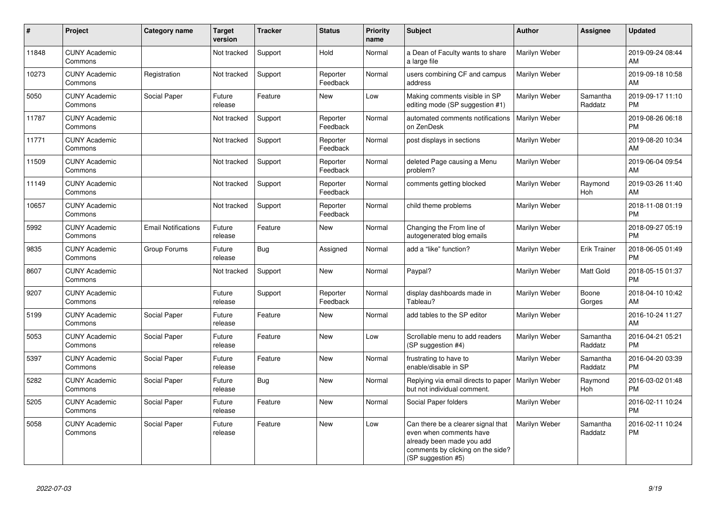| $\pmb{\#}$ | Project                         | <b>Category name</b>       | <b>Target</b><br>version | <b>Tracker</b> | <b>Status</b>        | <b>Priority</b><br>name | <b>Subject</b>                                                                                                                                        | <b>Author</b> | Assignee              | <b>Updated</b>                |
|------------|---------------------------------|----------------------------|--------------------------|----------------|----------------------|-------------------------|-------------------------------------------------------------------------------------------------------------------------------------------------------|---------------|-----------------------|-------------------------------|
| 11848      | <b>CUNY Academic</b><br>Commons |                            | Not tracked              | Support        | Hold                 | Normal                  | a Dean of Faculty wants to share<br>a large file                                                                                                      | Marilyn Weber |                       | 2019-09-24 08:44<br>AM        |
| 10273      | <b>CUNY Academic</b><br>Commons | Registration               | Not tracked              | Support        | Reporter<br>Feedback | Normal                  | users combining CF and campus<br>address                                                                                                              | Marilyn Weber |                       | 2019-09-18 10:58<br>AM        |
| 5050       | <b>CUNY Academic</b><br>Commons | Social Paper               | Future<br>release        | Feature        | New                  | Low                     | Making comments visible in SP<br>editing mode (SP suggestion #1)                                                                                      | Marilyn Weber | Samantha<br>Raddatz   | 2019-09-17 11:10<br><b>PM</b> |
| 11787      | <b>CUNY Academic</b><br>Commons |                            | Not tracked              | Support        | Reporter<br>Feedback | Normal                  | automated comments notifications<br>on ZenDesk                                                                                                        | Marilyn Weber |                       | 2019-08-26 06:18<br><b>PM</b> |
| 11771      | <b>CUNY Academic</b><br>Commons |                            | Not tracked              | Support        | Reporter<br>Feedback | Normal                  | post displays in sections                                                                                                                             | Marilyn Weber |                       | 2019-08-20 10:34<br>AM        |
| 11509      | <b>CUNY Academic</b><br>Commons |                            | Not tracked              | Support        | Reporter<br>Feedback | Normal                  | deleted Page causing a Menu<br>problem?                                                                                                               | Marilyn Weber |                       | 2019-06-04 09:54<br>AM        |
| 11149      | <b>CUNY Academic</b><br>Commons |                            | Not tracked              | Support        | Reporter<br>Feedback | Normal                  | comments getting blocked                                                                                                                              | Marilyn Weber | Raymond<br><b>Hoh</b> | 2019-03-26 11:40<br>AM        |
| 10657      | <b>CUNY Academic</b><br>Commons |                            | Not tracked              | Support        | Reporter<br>Feedback | Normal                  | child theme problems                                                                                                                                  | Marilyn Weber |                       | 2018-11-08 01:19<br><b>PM</b> |
| 5992       | <b>CUNY Academic</b><br>Commons | <b>Email Notifications</b> | Future<br>release        | Feature        | New                  | Normal                  | Changing the From line of<br>autogenerated blog emails                                                                                                | Marilyn Weber |                       | 2018-09-27 05:19<br><b>PM</b> |
| 9835       | <b>CUNY Academic</b><br>Commons | Group Forums               | Future<br>release        | Bug            | Assigned             | Normal                  | add a "like" function?                                                                                                                                | Marilyn Weber | Erik Trainer          | 2018-06-05 01:49<br><b>PM</b> |
| 8607       | <b>CUNY Academic</b><br>Commons |                            | Not tracked              | Support        | <b>New</b>           | Normal                  | Paypal?                                                                                                                                               | Marilyn Weber | Matt Gold             | 2018-05-15 01:37<br><b>PM</b> |
| 9207       | <b>CUNY Academic</b><br>Commons |                            | Future<br>release        | Support        | Reporter<br>Feedback | Normal                  | display dashboards made in<br>Tableau?                                                                                                                | Marilyn Weber | Boone<br>Gorges       | 2018-04-10 10:42<br>AM        |
| 5199       | <b>CUNY Academic</b><br>Commons | Social Paper               | Future<br>release        | Feature        | <b>New</b>           | Normal                  | add tables to the SP editor                                                                                                                           | Marilyn Weber |                       | 2016-10-24 11:27<br>AM        |
| 5053       | <b>CUNY Academic</b><br>Commons | Social Paper               | Future<br>release        | Feature        | <b>New</b>           | Low                     | Scrollable menu to add readers<br>(SP suggestion #4)                                                                                                  | Marilyn Weber | Samantha<br>Raddatz   | 2016-04-21 05:21<br><b>PM</b> |
| 5397       | <b>CUNY Academic</b><br>Commons | Social Paper               | Future<br>release        | Feature        | New                  | Normal                  | frustrating to have to<br>enable/disable in SP                                                                                                        | Marilyn Weber | Samantha<br>Raddatz   | 2016-04-20 03:39<br><b>PM</b> |
| 5282       | <b>CUNY Academic</b><br>Commons | Social Paper               | Future<br>release        | Bug            | New                  | Normal                  | Replying via email directs to paper<br>but not individual comment.                                                                                    | Marilyn Weber | Raymond<br>Hoh        | 2016-03-02 01:48<br><b>PM</b> |
| 5205       | <b>CUNY Academic</b><br>Commons | Social Paper               | Future<br>release        | Feature        | New                  | Normal                  | Social Paper folders                                                                                                                                  | Marilyn Weber |                       | 2016-02-11 10:24<br><b>PM</b> |
| 5058       | <b>CUNY Academic</b><br>Commons | Social Paper               | Future<br>release        | Feature        | <b>New</b>           | Low                     | Can there be a clearer signal that<br>even when comments have<br>already been made you add<br>comments by clicking on the side?<br>(SP suggestion #5) | Marilyn Weber | Samantha<br>Raddatz   | 2016-02-11 10:24<br><b>PM</b> |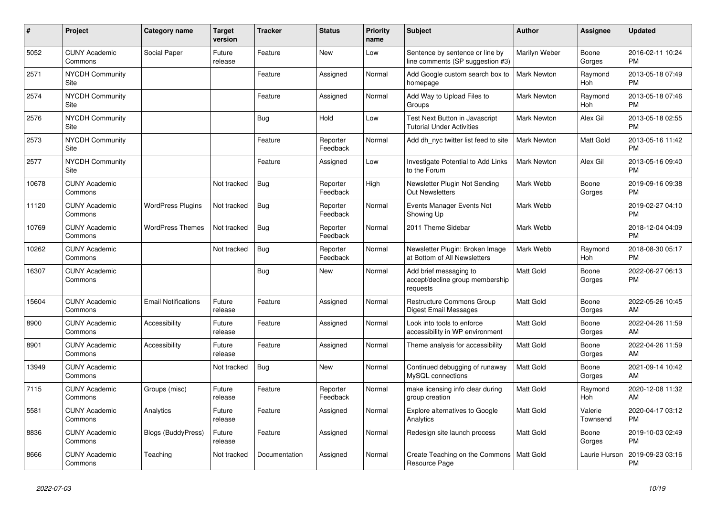| #     | Project                               | Category name              | <b>Target</b><br>version | <b>Tracker</b> | <b>Status</b>        | <b>Priority</b><br>name | <b>Subject</b>                                                        | <b>Author</b>      | Assignee              | <b>Updated</b>                |
|-------|---------------------------------------|----------------------------|--------------------------|----------------|----------------------|-------------------------|-----------------------------------------------------------------------|--------------------|-----------------------|-------------------------------|
| 5052  | <b>CUNY Academic</b><br>Commons       | Social Paper               | Future<br>release        | Feature        | <b>New</b>           | Low                     | Sentence by sentence or line by<br>line comments (SP suggestion #3)   | Marilyn Weber      | Boone<br>Gorges       | 2016-02-11 10:24<br><b>PM</b> |
| 2571  | <b>NYCDH Community</b><br>Site        |                            |                          | Feature        | Assigned             | Normal                  | Add Google custom search box to<br>homepage                           | <b>Mark Newton</b> | Raymond<br><b>Hoh</b> | 2013-05-18 07:49<br><b>PM</b> |
| 2574  | <b>NYCDH Community</b><br>Site        |                            |                          | Feature        | Assigned             | Normal                  | Add Way to Upload Files to<br>Groups                                  | <b>Mark Newton</b> | Raymond<br>Hoh        | 2013-05-18 07:46<br><b>PM</b> |
| 2576  | <b>NYCDH Community</b><br>Site        |                            |                          | <b>Bug</b>     | Hold                 | Low                     | Test Next Button in Javascript<br><b>Tutorial Under Activities</b>    | Mark Newton        | Alex Gil              | 2013-05-18 02:55<br><b>PM</b> |
| 2573  | <b>NYCDH Community</b><br>Site        |                            |                          | Feature        | Reporter<br>Feedback | Normal                  | Add dh nyc twitter list feed to site                                  | <b>Mark Newton</b> | Matt Gold             | 2013-05-16 11:42<br><b>PM</b> |
| 2577  | <b>NYCDH Community</b><br><b>Site</b> |                            |                          | Feature        | Assigned             | Low                     | Investigate Potential to Add Links<br>to the Forum                    | <b>Mark Newton</b> | Alex Gil              | 2013-05-16 09:40<br><b>PM</b> |
| 10678 | <b>CUNY Academic</b><br>Commons       |                            | Not tracked              | Bug            | Reporter<br>Feedback | High                    | Newsletter Plugin Not Sending<br><b>Out Newsletters</b>               | Mark Webb          | Boone<br>Gorges       | 2019-09-16 09:38<br><b>PM</b> |
| 11120 | <b>CUNY Academic</b><br>Commons       | <b>WordPress Plugins</b>   | Not tracked              | Bug            | Reporter<br>Feedback | Normal                  | Events Manager Events Not<br>Showing Up                               | Mark Webb          |                       | 2019-02-27 04:10<br><b>PM</b> |
| 10769 | <b>CUNY Academic</b><br>Commons       | <b>WordPress Themes</b>    | Not tracked              | Bug            | Reporter<br>Feedback | Normal                  | 2011 Theme Sidebar                                                    | Mark Webb          |                       | 2018-12-04 04:09<br><b>PM</b> |
| 10262 | <b>CUNY Academic</b><br>Commons       |                            | Not tracked              | Bug            | Reporter<br>Feedback | Normal                  | Newsletter Plugin: Broken Image<br>at Bottom of All Newsletters       | Mark Webb          | Raymond<br>Hoh        | 2018-08-30 05:17<br><b>PM</b> |
| 16307 | <b>CUNY Academic</b><br>Commons       |                            |                          | Bug            | <b>New</b>           | Normal                  | Add brief messaging to<br>accept/decline group membership<br>requests | <b>Matt Gold</b>   | Boone<br>Gorges       | 2022-06-27 06:13<br><b>PM</b> |
| 15604 | <b>CUNY Academic</b><br>Commons       | <b>Email Notifications</b> | Future<br>release        | Feature        | Assigned             | Normal                  | <b>Restructure Commons Group</b><br>Digest Email Messages             | <b>Matt Gold</b>   | Boone<br>Gorges       | 2022-05-26 10:45<br>AM        |
| 8900  | <b>CUNY Academic</b><br>Commons       | Accessibility              | Future<br>release        | Feature        | Assigned             | Normal                  | Look into tools to enforce<br>accessibility in WP environment         | <b>Matt Gold</b>   | Boone<br>Gorges       | 2022-04-26 11:59<br>AM        |
| 8901  | <b>CUNY Academic</b><br>Commons       | <b>Accessibility</b>       | Future<br>release        | Feature        | Assigned             | Normal                  | Theme analysis for accessibility                                      | <b>Matt Gold</b>   | Boone<br>Gorges       | 2022-04-26 11:59<br>AM        |
| 13949 | <b>CUNY Academic</b><br>Commons       |                            | Not tracked              | Bug            | New                  | Normal                  | Continued debugging of runaway<br>MySQL connections                   | <b>Matt Gold</b>   | Boone<br>Gorges       | 2021-09-14 10:42<br>AM        |
| 7115  | <b>CUNY Academic</b><br>Commons       | Groups (misc)              | Future<br>release        | Feature        | Reporter<br>Feedback | Normal                  | make licensing info clear during<br>group creation                    | Matt Gold          | Raymond<br>Hoh        | 2020-12-08 11:32<br>AM        |
| 5581  | <b>CUNY Academic</b><br>Commons       | Analytics                  | Future<br>release        | Feature        | Assigned             | Normal                  | <b>Explore alternatives to Google</b><br>Analytics                    | <b>Matt Gold</b>   | Valerie<br>Townsend   | 2020-04-17 03:12<br><b>PM</b> |
| 8836  | <b>CUNY Academic</b><br>Commons       | <b>Blogs (BuddyPress)</b>  | Future<br>release        | Feature        | Assigned             | Normal                  | Redesign site launch process                                          | <b>Matt Gold</b>   | Boone<br>Gorges       | 2019-10-03 02:49<br><b>PM</b> |
| 8666  | <b>CUNY Academic</b><br>Commons       | Teaching                   | Not tracked              | Documentation  | Assigned             | Normal                  | Create Teaching on the Commons   Matt Gold<br>Resource Page           |                    | Laurie Hurson         | 2019-09-23 03:16<br><b>PM</b> |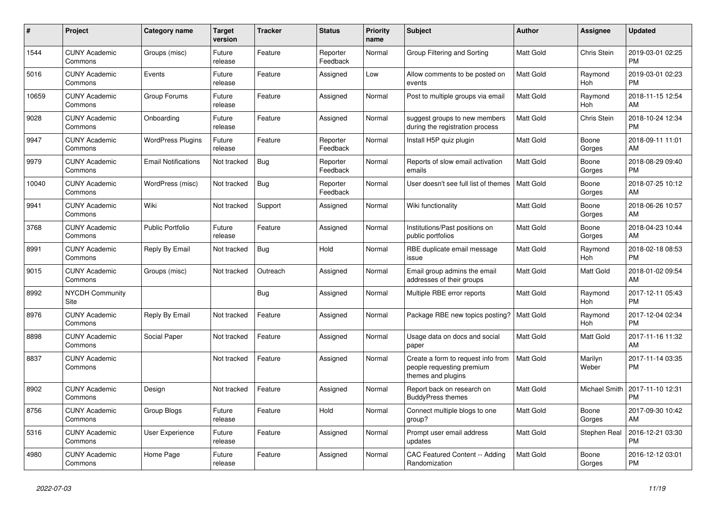| #     | Project                         | <b>Category name</b>       | <b>Target</b><br>version | <b>Tracker</b> | <b>Status</b>        | Priority<br>name | <b>Subject</b>                                                                        | <b>Author</b>    | <b>Assignee</b>  | <b>Updated</b>                |
|-------|---------------------------------|----------------------------|--------------------------|----------------|----------------------|------------------|---------------------------------------------------------------------------------------|------------------|------------------|-------------------------------|
| 1544  | <b>CUNY Academic</b><br>Commons | Groups (misc)              | Future<br>release        | Feature        | Reporter<br>Feedback | Normal           | Group Filtering and Sorting                                                           | <b>Matt Gold</b> | Chris Stein      | 2019-03-01 02:25<br><b>PM</b> |
| 5016  | <b>CUNY Academic</b><br>Commons | Events                     | Future<br>release        | Feature        | Assigned             | Low              | Allow comments to be posted on<br>events                                              | <b>Matt Gold</b> | Raymond<br>Hoh   | 2019-03-01 02:23<br><b>PM</b> |
| 10659 | <b>CUNY Academic</b><br>Commons | Group Forums               | Future<br>release        | Feature        | Assigned             | Normal           | Post to multiple groups via email                                                     | <b>Matt Gold</b> | Raymond<br>Hoh   | 2018-11-15 12:54<br>AM        |
| 9028  | <b>CUNY Academic</b><br>Commons | Onboarding                 | Future<br>release        | Feature        | Assigned             | Normal           | suggest groups to new members<br>during the registration process                      | <b>Matt Gold</b> | Chris Stein      | 2018-10-24 12:34<br><b>PM</b> |
| 9947  | <b>CUNY Academic</b><br>Commons | <b>WordPress Plugins</b>   | Future<br>release        | Feature        | Reporter<br>Feedback | Normal           | Install H5P quiz plugin                                                               | Matt Gold        | Boone<br>Gorges  | 2018-09-11 11:01<br>AM        |
| 9979  | <b>CUNY Academic</b><br>Commons | <b>Email Notifications</b> | Not tracked              | Bug            | Reporter<br>Feedback | Normal           | Reports of slow email activation<br>emails                                            | <b>Matt Gold</b> | Boone<br>Gorges  | 2018-08-29 09:40<br><b>PM</b> |
| 10040 | <b>CUNY Academic</b><br>Commons | WordPress (misc)           | Not tracked              | Bug            | Reporter<br>Feedback | Normal           | User doesn't see full list of themes                                                  | <b>Matt Gold</b> | Boone<br>Gorges  | 2018-07-25 10:12<br>AM        |
| 9941  | <b>CUNY Academic</b><br>Commons | Wiki                       | Not tracked              | Support        | Assigned             | Normal           | Wiki functionality                                                                    | <b>Matt Gold</b> | Boone<br>Gorges  | 2018-06-26 10:57<br>AM        |
| 3768  | <b>CUNY Academic</b><br>Commons | <b>Public Portfolio</b>    | Future<br>release        | Feature        | Assigned             | Normal           | Institutions/Past positions on<br>public portfolios                                   | Matt Gold        | Boone<br>Gorges  | 2018-04-23 10:44<br>AM        |
| 8991  | <b>CUNY Academic</b><br>Commons | Reply By Email             | Not tracked              | <b>Bug</b>     | Hold                 | Normal           | RBE duplicate email message<br>issue                                                  | <b>Matt Gold</b> | Raymond<br>Hoh   | 2018-02-18 08:53<br><b>PM</b> |
| 9015  | <b>CUNY Academic</b><br>Commons | Groups (misc)              | Not tracked              | Outreach       | Assigned             | Normal           | Email group admins the email<br>addresses of their groups                             | Matt Gold        | Matt Gold        | 2018-01-02 09:54<br>AM        |
| 8992  | <b>NYCDH Community</b><br>Site  |                            |                          | <b>Bug</b>     | Assigned             | Normal           | Multiple RBE error reports                                                            | Matt Gold        | Raymond<br>Hoh   | 2017-12-11 05:43<br><b>PM</b> |
| 8976  | <b>CUNY Academic</b><br>Commons | Reply By Email             | Not tracked              | Feature        | Assigned             | Normal           | Package RBE new topics posting?                                                       | <b>Matt Gold</b> | Raymond<br>Hoh   | 2017-12-04 02:34<br><b>PM</b> |
| 8898  | <b>CUNY Academic</b><br>Commons | Social Paper               | Not tracked              | Feature        | Assigned             | Normal           | Usage data on docs and social<br>paper                                                | <b>Matt Gold</b> | Matt Gold        | 2017-11-16 11:32<br>AM        |
| 8837  | <b>CUNY Academic</b><br>Commons |                            | Not tracked              | Feature        | Assigned             | Normal           | Create a form to request info from<br>people requesting premium<br>themes and plugins | <b>Matt Gold</b> | Marilyn<br>Weber | 2017-11-14 03:35<br><b>PM</b> |
| 8902  | <b>CUNY Academic</b><br>Commons | Design                     | Not tracked              | Feature        | Assigned             | Normal           | Report back on research on<br><b>BuddyPress themes</b>                                | <b>Matt Gold</b> | Michael Smith    | 2017-11-10 12:31<br><b>PM</b> |
| 8756  | <b>CUNY Academic</b><br>Commons | <b>Group Blogs</b>         | Future<br>release        | Feature        | Hold                 | Normal           | Connect multiple blogs to one<br>group?                                               | Matt Gold        | Boone<br>Gorges  | 2017-09-30 10:42<br>AM        |
| 5316  | <b>CUNY Academic</b><br>Commons | <b>User Experience</b>     | Future<br>release        | Feature        | Assigned             | Normal           | Prompt user email address<br>updates                                                  | Matt Gold        | Stephen Real     | 2016-12-21 03:30<br><b>PM</b> |
| 4980  | <b>CUNY Academic</b><br>Commons | Home Page                  | Future<br>release        | Feature        | Assigned             | Normal           | CAC Featured Content -- Adding<br>Randomization                                       | <b>Matt Gold</b> | Boone<br>Gorges  | 2016-12-12 03:01<br><b>PM</b> |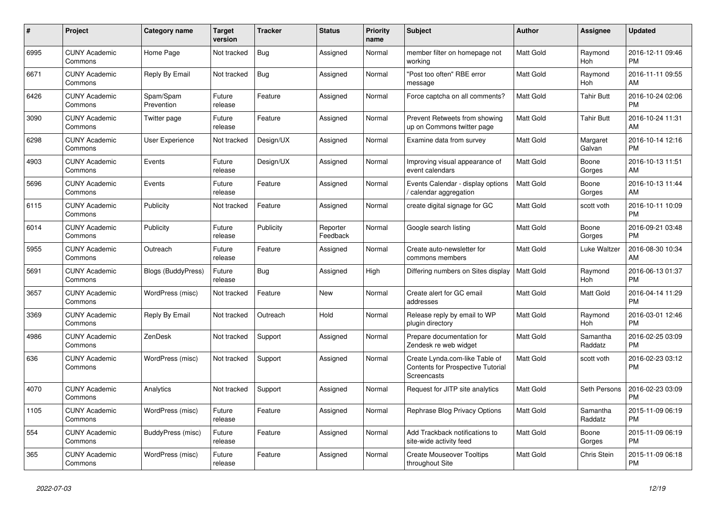| $\#$ | Project                         | Category name             | <b>Target</b><br>version | <b>Tracker</b> | <b>Status</b>        | <b>Priority</b><br>name | <b>Subject</b>                                                                     | Author           | Assignee            | <b>Updated</b>                |
|------|---------------------------------|---------------------------|--------------------------|----------------|----------------------|-------------------------|------------------------------------------------------------------------------------|------------------|---------------------|-------------------------------|
| 6995 | <b>CUNY Academic</b><br>Commons | Home Page                 | Not tracked              | Bug            | Assigned             | Normal                  | member filter on homepage not<br>working                                           | Matt Gold        | Raymond<br>Hoh      | 2016-12-11 09:46<br><b>PM</b> |
| 6671 | <b>CUNY Academic</b><br>Commons | Reply By Email            | Not tracked              | Bug            | Assigned             | Normal                  | "Post too often" RBE error<br>message                                              | <b>Matt Gold</b> | Raymond<br>Hoh      | 2016-11-11 09:55<br>AM        |
| 6426 | <b>CUNY Academic</b><br>Commons | Spam/Spam<br>Prevention   | Future<br>release        | Feature        | Assigned             | Normal                  | Force captcha on all comments?                                                     | <b>Matt Gold</b> | Tahir Butt          | 2016-10-24 02:06<br><b>PM</b> |
| 3090 | <b>CUNY Academic</b><br>Commons | Twitter page              | Future<br>release        | Feature        | Assigned             | Normal                  | Prevent Retweets from showing<br>up on Commons twitter page                        | <b>Matt Gold</b> | Tahir Butt          | 2016-10-24 11:31<br>AM        |
| 6298 | <b>CUNY Academic</b><br>Commons | User Experience           | Not tracked              | Design/UX      | Assigned             | Normal                  | Examine data from survey                                                           | <b>Matt Gold</b> | Margaret<br>Galvan  | 2016-10-14 12:16<br><b>PM</b> |
| 4903 | <b>CUNY Academic</b><br>Commons | Events                    | Future<br>release        | Design/UX      | Assigned             | Normal                  | Improving visual appearance of<br>event calendars                                  | Matt Gold        | Boone<br>Gorges     | 2016-10-13 11:51<br>AM        |
| 5696 | <b>CUNY Academic</b><br>Commons | Events                    | Future<br>release        | Feature        | Assigned             | Normal                  | Events Calendar - display options<br>/ calendar aggregation                        | <b>Matt Gold</b> | Boone<br>Gorges     | 2016-10-13 11:44<br>AM        |
| 6115 | <b>CUNY Academic</b><br>Commons | Publicity                 | Not tracked              | Feature        | Assigned             | Normal                  | create digital signage for GC                                                      | <b>Matt Gold</b> | scott voth          | 2016-10-11 10:09<br><b>PM</b> |
| 6014 | <b>CUNY Academic</b><br>Commons | Publicity                 | Future<br>release        | Publicity      | Reporter<br>Feedback | Normal                  | Google search listing                                                              | Matt Gold        | Boone<br>Gorges     | 2016-09-21 03:48<br><b>PM</b> |
| 5955 | <b>CUNY Academic</b><br>Commons | Outreach                  | Future<br>release        | Feature        | Assigned             | Normal                  | Create auto-newsletter for<br>commons members                                      | Matt Gold        | Luke Waltzer        | 2016-08-30 10:34<br>AM        |
| 5691 | <b>CUNY Academic</b><br>Commons | <b>Blogs (BuddyPress)</b> | Future<br>release        | Bug            | Assigned             | High                    | Differing numbers on Sites display                                                 | Matt Gold        | Raymond<br>Hoh      | 2016-06-13 01:37<br><b>PM</b> |
| 3657 | <b>CUNY Academic</b><br>Commons | WordPress (misc)          | Not tracked              | Feature        | <b>New</b>           | Normal                  | Create alert for GC email<br>addresses                                             | <b>Matt Gold</b> | <b>Matt Gold</b>    | 2016-04-14 11:29<br><b>PM</b> |
| 3369 | <b>CUNY Academic</b><br>Commons | Reply By Email            | Not tracked              | Outreach       | Hold                 | Normal                  | Release reply by email to WP<br>plugin directory                                   | <b>Matt Gold</b> | Raymond<br>Hoh      | 2016-03-01 12:46<br><b>PM</b> |
| 4986 | <b>CUNY Academic</b><br>Commons | <b>ZenDesk</b>            | Not tracked              | Support        | Assigned             | Normal                  | Prepare documentation for<br>Zendesk re web widget                                 | <b>Matt Gold</b> | Samantha<br>Raddatz | 2016-02-25 03:09<br><b>PM</b> |
| 636  | <b>CUNY Academic</b><br>Commons | WordPress (misc)          | Not tracked              | Support        | Assigned             | Normal                  | Create Lynda.com-like Table of<br>Contents for Prospective Tutorial<br>Screencasts | Matt Gold        | scott voth          | 2016-02-23 03:12<br>PM        |
| 4070 | <b>CUNY Academic</b><br>Commons | Analytics                 | Not tracked              | Support        | Assigned             | Normal                  | Request for JITP site analytics                                                    | Matt Gold        | Seth Persons        | 2016-02-23 03:09<br><b>PM</b> |
| 1105 | <b>CUNY Academic</b><br>Commons | WordPress (misc)          | Future<br>release        | Feature        | Assigned             | Normal                  | Rephrase Blog Privacy Options                                                      | <b>Matt Gold</b> | Samantha<br>Raddatz | 2015-11-09 06:19<br><b>PM</b> |
| 554  | <b>CUNY Academic</b><br>Commons | BuddyPress (misc)         | Future<br>release        | Feature        | Assigned             | Normal                  | Add Trackback notifications to<br>site-wide activity feed                          | <b>Matt Gold</b> | Boone<br>Gorges     | 2015-11-09 06:19<br><b>PM</b> |
| 365  | <b>CUNY Academic</b><br>Commons | WordPress (misc)          | Future<br>release        | Feature        | Assigned             | Normal                  | <b>Create Mouseover Tooltips</b><br>throughout Site                                | Matt Gold        | Chris Stein         | 2015-11-09 06:18<br><b>PM</b> |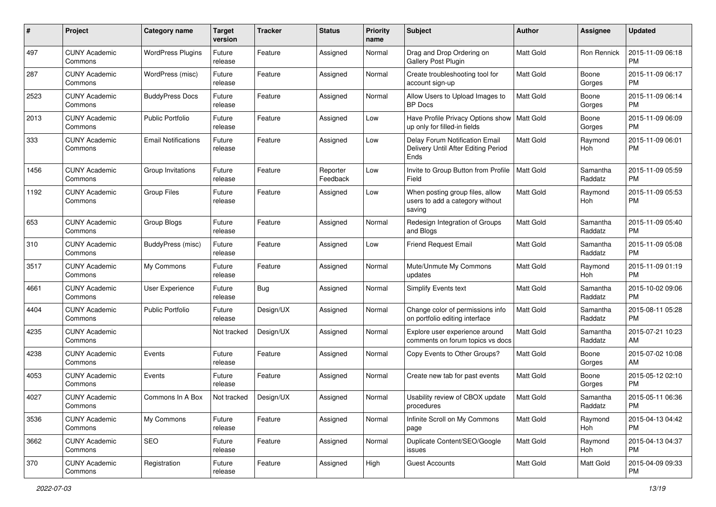| #    | Project                         | <b>Category name</b>       | <b>Target</b><br>version | <b>Tracker</b> | <b>Status</b>        | <b>Priority</b><br>name | <b>Subject</b>                                                                | <b>Author</b>    | <b>Assignee</b>     | <b>Updated</b>                |
|------|---------------------------------|----------------------------|--------------------------|----------------|----------------------|-------------------------|-------------------------------------------------------------------------------|------------------|---------------------|-------------------------------|
| 497  | <b>CUNY Academic</b><br>Commons | <b>WordPress Plugins</b>   | Future<br>release        | Feature        | Assigned             | Normal                  | Drag and Drop Ordering on<br><b>Gallery Post Plugin</b>                       | <b>Matt Gold</b> | Ron Rennick         | 2015-11-09 06:18<br><b>PM</b> |
| 287  | <b>CUNY Academic</b><br>Commons | WordPress (misc)           | Future<br>release        | Feature        | Assigned             | Normal                  | Create troubleshooting tool for<br>account sign-up                            | Matt Gold        | Boone<br>Gorges     | 2015-11-09 06:17<br><b>PM</b> |
| 2523 | <b>CUNY Academic</b><br>Commons | <b>BuddyPress Docs</b>     | Future<br>release        | Feature        | Assigned             | Normal                  | Allow Users to Upload Images to<br><b>BP</b> Docs                             | Matt Gold        | Boone<br>Gorges     | 2015-11-09 06:14<br><b>PM</b> |
| 2013 | <b>CUNY Academic</b><br>Commons | <b>Public Portfolio</b>    | Future<br>release        | Feature        | Assigned             | Low                     | Have Profile Privacy Options show<br>up only for filled-in fields             | Matt Gold        | Boone<br>Gorges     | 2015-11-09 06:09<br>PM        |
| 333  | <b>CUNY Academic</b><br>Commons | <b>Email Notifications</b> | Future<br>release        | Feature        | Assigned             | Low                     | Delay Forum Notification Email<br>Delivery Until After Editing Period<br>Ends | <b>Matt Gold</b> | Raymond<br>Hoh      | 2015-11-09 06:01<br><b>PM</b> |
| 1456 | <b>CUNY Academic</b><br>Commons | Group Invitations          | Future<br>release        | Feature        | Reporter<br>Feedback | Low                     | Invite to Group Button from Profile<br>Field                                  | <b>Matt Gold</b> | Samantha<br>Raddatz | 2015-11-09 05:59<br><b>PM</b> |
| 1192 | <b>CUNY Academic</b><br>Commons | <b>Group Files</b>         | Future<br>release        | Feature        | Assigned             | Low                     | When posting group files, allow<br>users to add a category without<br>saving  | <b>Matt Gold</b> | Raymond<br>Hoh      | 2015-11-09 05:53<br>PM.       |
| 653  | <b>CUNY Academic</b><br>Commons | <b>Group Blogs</b>         | Future<br>release        | Feature        | Assigned             | Normal                  | Redesign Integration of Groups<br>and Blogs                                   | Matt Gold        | Samantha<br>Raddatz | 2015-11-09 05:40<br><b>PM</b> |
| 310  | <b>CUNY Academic</b><br>Commons | BuddyPress (misc)          | Future<br>release        | Feature        | Assigned             | Low                     | Friend Request Email                                                          | Matt Gold        | Samantha<br>Raddatz | 2015-11-09 05:08<br><b>PM</b> |
| 3517 | <b>CUNY Academic</b><br>Commons | My Commons                 | Future<br>release        | Feature        | Assigned             | Normal                  | Mute/Unmute My Commons<br>updates                                             | <b>Matt Gold</b> | Raymond<br>Hoh      | 2015-11-09 01:19<br>PM.       |
| 4661 | <b>CUNY Academic</b><br>Commons | User Experience            | Future<br>release        | Bug            | Assigned             | Normal                  | <b>Simplify Events text</b>                                                   | <b>Matt Gold</b> | Samantha<br>Raddatz | 2015-10-02 09:06<br><b>PM</b> |
| 4404 | <b>CUNY Academic</b><br>Commons | Public Portfolio           | Future<br>release        | Design/UX      | Assigned             | Normal                  | Change color of permissions info<br>on portfolio editing interface            | Matt Gold        | Samantha<br>Raddatz | 2015-08-11 05:28<br><b>PM</b> |
| 4235 | <b>CUNY Academic</b><br>Commons |                            | Not tracked              | Design/UX      | Assigned             | Normal                  | Explore user experience around<br>comments on forum topics vs docs            | <b>Matt Gold</b> | Samantha<br>Raddatz | 2015-07-21 10:23<br>AM        |
| 4238 | <b>CUNY Academic</b><br>Commons | Events                     | Future<br>release        | Feature        | Assigned             | Normal                  | Copy Events to Other Groups?                                                  | Matt Gold        | Boone<br>Gorges     | 2015-07-02 10:08<br>AM        |
| 4053 | <b>CUNY Academic</b><br>Commons | Events                     | Future<br>release        | Feature        | Assigned             | Normal                  | Create new tab for past events                                                | Matt Gold        | Boone<br>Gorges     | 2015-05-12 02:10<br>PM.       |
| 4027 | <b>CUNY Academic</b><br>Commons | Commons In A Box           | Not tracked              | Design/UX      | Assigned             | Normal                  | Usability review of CBOX update<br>procedures                                 | <b>Matt Gold</b> | Samantha<br>Raddatz | 2015-05-11 06:36<br>PM        |
| 3536 | <b>CUNY Academic</b><br>Commons | My Commons                 | Future<br>release        | Feature        | Assigned             | Normal                  | Infinite Scroll on My Commons<br>page                                         | Matt Gold        | Raymond<br>Hoh      | 2015-04-13 04:42<br>PM.       |
| 3662 | <b>CUNY Academic</b><br>Commons | SEO                        | Future<br>release        | Feature        | Assigned             | Normal                  | Duplicate Content/SEO/Google<br>issues                                        | Matt Gold        | Raymond<br>Hoh      | 2015-04-13 04:37<br><b>PM</b> |
| 370  | <b>CUNY Academic</b><br>Commons | Registration               | Future<br>release        | Feature        | Assigned             | High                    | <b>Guest Accounts</b>                                                         | Matt Gold        | Matt Gold           | 2015-04-09 09:33<br><b>PM</b> |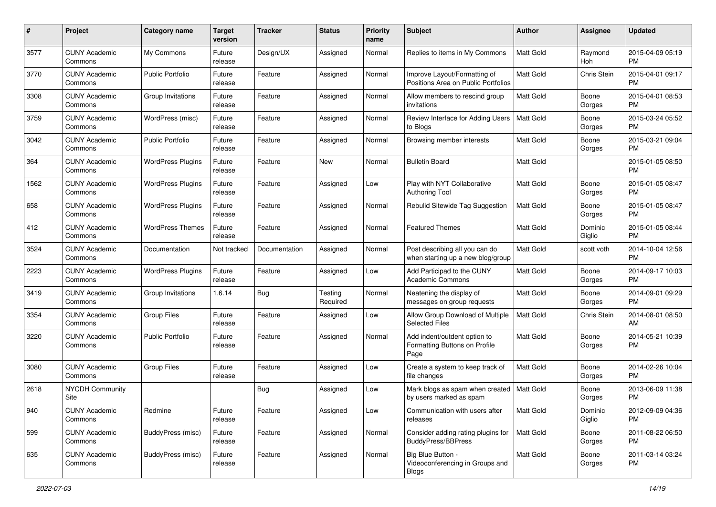| #    | Project                         | <b>Category name</b>     | <b>Target</b><br>version | Tracker       | <b>Status</b>       | <b>Priority</b><br>name | <b>Subject</b>                                                        | Author           | <b>Assignee</b>   | <b>Updated</b>                |
|------|---------------------------------|--------------------------|--------------------------|---------------|---------------------|-------------------------|-----------------------------------------------------------------------|------------------|-------------------|-------------------------------|
| 3577 | <b>CUNY Academic</b><br>Commons | My Commons               | Future<br>release        | Design/UX     | Assigned            | Normal                  | Replies to items in My Commons                                        | <b>Matt Gold</b> | Raymond<br>Hoh    | 2015-04-09 05:19<br>PM        |
| 3770 | <b>CUNY Academic</b><br>Commons | <b>Public Portfolio</b>  | Future<br>release        | Feature       | Assigned            | Normal                  | Improve Layout/Formatting of<br>Positions Area on Public Portfolios   | <b>Matt Gold</b> | Chris Stein       | 2015-04-01 09:17<br><b>PM</b> |
| 3308 | <b>CUNY Academic</b><br>Commons | Group Invitations        | Future<br>release        | Feature       | Assigned            | Normal                  | Allow members to rescind group<br>invitations                         | Matt Gold        | Boone<br>Gorges   | 2015-04-01 08:53<br><b>PM</b> |
| 3759 | <b>CUNY Academic</b><br>Commons | WordPress (misc)         | Future<br>release        | Feature       | Assigned            | Normal                  | Review Interface for Adding Users<br>to Blogs                         | Matt Gold        | Boone<br>Gorges   | 2015-03-24 05:52<br><b>PM</b> |
| 3042 | <b>CUNY Academic</b><br>Commons | Public Portfolio         | Future<br>release        | Feature       | Assigned            | Normal                  | Browsing member interests                                             | Matt Gold        | Boone<br>Gorges   | 2015-03-21 09:04<br><b>PM</b> |
| 364  | <b>CUNY Academic</b><br>Commons | <b>WordPress Plugins</b> | Future<br>release        | Feature       | New                 | Normal                  | <b>Bulletin Board</b>                                                 | <b>Matt Gold</b> |                   | 2015-01-05 08:50<br>PM        |
| 1562 | <b>CUNY Academic</b><br>Commons | <b>WordPress Plugins</b> | Future<br>release        | Feature       | Assigned            | Low                     | Play with NYT Collaborative<br><b>Authoring Tool</b>                  | <b>Matt Gold</b> | Boone<br>Gorges   | 2015-01-05 08:47<br><b>PM</b> |
| 658  | <b>CUNY Academic</b><br>Commons | <b>WordPress Plugins</b> | Future<br>release        | Feature       | Assigned            | Normal                  | Rebulid Sitewide Tag Suggestion                                       | <b>Matt Gold</b> | Boone<br>Gorges   | 2015-01-05 08:47<br><b>PM</b> |
| 412  | <b>CUNY Academic</b><br>Commons | <b>WordPress Themes</b>  | Future<br>release        | Feature       | Assigned            | Normal                  | <b>Featured Themes</b>                                                | <b>Matt Gold</b> | Dominic<br>Giglio | 2015-01-05 08:44<br><b>PM</b> |
| 3524 | <b>CUNY Academic</b><br>Commons | Documentation            | Not tracked              | Documentation | Assigned            | Normal                  | Post describing all you can do<br>when starting up a new blog/group   | Matt Gold        | scott voth        | 2014-10-04 12:56<br><b>PM</b> |
| 2223 | <b>CUNY Academic</b><br>Commons | <b>WordPress Plugins</b> | Future<br>release        | Feature       | Assigned            | Low                     | Add Participad to the CUNY<br>Academic Commons                        | <b>Matt Gold</b> | Boone<br>Gorges   | 2014-09-17 10:03<br><b>PM</b> |
| 3419 | <b>CUNY Academic</b><br>Commons | Group Invitations        | 1.6.14                   | Bug           | Testing<br>Required | Normal                  | Neatening the display of<br>messages on group requests                | <b>Matt Gold</b> | Boone<br>Gorges   | 2014-09-01 09:29<br><b>PM</b> |
| 3354 | <b>CUNY Academic</b><br>Commons | Group Files              | Future<br>release        | Feature       | Assigned            | Low                     | Allow Group Download of Multiple<br><b>Selected Files</b>             | <b>Matt Gold</b> | Chris Stein       | 2014-08-01 08:50<br>AM        |
| 3220 | <b>CUNY Academic</b><br>Commons | <b>Public Portfolio</b>  | Future<br>release        | Feature       | Assigned            | Normal                  | Add indent/outdent option to<br>Formatting Buttons on Profile<br>Page | <b>Matt Gold</b> | Boone<br>Gorges   | 2014-05-21 10:39<br>PM        |
| 3080 | <b>CUNY Academic</b><br>Commons | <b>Group Files</b>       | Future<br>release        | Feature       | Assigned            | Low                     | Create a system to keep track of<br>file changes                      | <b>Matt Gold</b> | Boone<br>Gorges   | 2014-02-26 10:04<br><b>PM</b> |
| 2618 | <b>NYCDH Community</b><br>Site  |                          |                          | Bug           | Assigned            | Low                     | Mark blogs as spam when created<br>by users marked as spam            | Matt Gold        | Boone<br>Gorges   | 2013-06-09 11:38<br>PM        |
| 940  | <b>CUNY Academic</b><br>Commons | Redmine                  | Future<br>release        | Feature       | Assigned            | Low                     | Communication with users after<br>releases                            | Matt Gold        | Dominic<br>Giglio | 2012-09-09 04:36<br><b>PM</b> |
| 599  | <b>CUNY Academic</b><br>Commons | BuddyPress (misc)        | Future<br>release        | Feature       | Assigned            | Normal                  | Consider adding rating plugins for<br>BuddyPress/BBPress              | Matt Gold        | Boone<br>Gorges   | 2011-08-22 06:50<br><b>PM</b> |
| 635  | <b>CUNY Academic</b><br>Commons | BuddyPress (misc)        | Future<br>release        | Feature       | Assigned            | Normal                  | Big Blue Button -<br>Videoconferencing in Groups and<br><b>Blogs</b>  | Matt Gold        | Boone<br>Gorges   | 2011-03-14 03:24<br>PM        |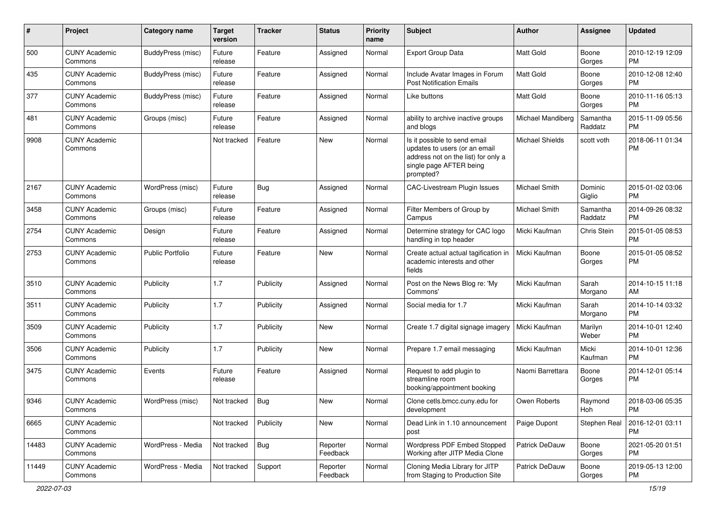| #     | Project                         | Category name            | <b>Target</b><br>version | <b>Tracker</b> | <b>Status</b>        | <b>Priority</b><br>name | <b>Subject</b>                                                                                                                               | Author               | <b>Assignee</b>     | <b>Updated</b>                |
|-------|---------------------------------|--------------------------|--------------------------|----------------|----------------------|-------------------------|----------------------------------------------------------------------------------------------------------------------------------------------|----------------------|---------------------|-------------------------------|
| 500   | <b>CUNY Academic</b><br>Commons | <b>BuddyPress (misc)</b> | Future<br>release        | Feature        | Assigned             | Normal                  | <b>Export Group Data</b>                                                                                                                     | <b>Matt Gold</b>     | Boone<br>Gorges     | 2010-12-19 12:09<br><b>PM</b> |
| 435   | <b>CUNY Academic</b><br>Commons | BuddyPress (misc)        | Future<br>release        | Feature        | Assigned             | Normal                  | Include Avatar Images in Forum<br><b>Post Notification Emails</b>                                                                            | Matt Gold            | Boone<br>Gorges     | 2010-12-08 12:40<br><b>PM</b> |
| 377   | <b>CUNY Academic</b><br>Commons | <b>BuddyPress (misc)</b> | Future<br>release        | Feature        | Assigned             | Normal                  | Like buttons                                                                                                                                 | Matt Gold            | Boone<br>Gorges     | 2010-11-16 05:13<br><b>PM</b> |
| 481   | <b>CUNY Academic</b><br>Commons | Groups (misc)            | Future<br>release        | Feature        | Assigned             | Normal                  | ability to archive inactive groups<br>and blogs                                                                                              | Michael Mandiberg    | Samantha<br>Raddatz | 2015-11-09 05:56<br><b>PM</b> |
| 9908  | <b>CUNY Academic</b><br>Commons |                          | Not tracked              | Feature        | New                  | Normal                  | Is it possible to send email<br>updates to users (or an email<br>address not on the list) for only a<br>single page AFTER being<br>prompted? | Michael Shields      | scott voth          | 2018-06-11 01:34<br><b>PM</b> |
| 2167  | <b>CUNY Academic</b><br>Commons | WordPress (misc)         | Future<br>release        | Bug            | Assigned             | Normal                  | CAC-Livestream Plugin Issues                                                                                                                 | <b>Michael Smith</b> | Dominic<br>Giglio   | 2015-01-02 03:06<br><b>PM</b> |
| 3458  | <b>CUNY Academic</b><br>Commons | Groups (misc)            | Future<br>release        | Feature        | Assigned             | Normal                  | Filter Members of Group by<br>Campus                                                                                                         | <b>Michael Smith</b> | Samantha<br>Raddatz | 2014-09-26 08:32<br><b>PM</b> |
| 2754  | <b>CUNY Academic</b><br>Commons | Design                   | Future<br>release        | Feature        | Assigned             | Normal                  | Determine strategy for CAC logo<br>handling in top header                                                                                    | Micki Kaufman        | Chris Stein         | 2015-01-05 08:53<br><b>PM</b> |
| 2753  | <b>CUNY Academic</b><br>Commons | <b>Public Portfolio</b>  | Future<br>release        | Feature        | New                  | Normal                  | Create actual actual tagification in<br>academic interests and other<br>fields                                                               | Micki Kaufman        | Boone<br>Gorges     | 2015-01-05 08:52<br><b>PM</b> |
| 3510  | <b>CUNY Academic</b><br>Commons | Publicity                | 1.7                      | Publicity      | Assigned             | Normal                  | Post on the News Blog re: 'My<br>Commons'                                                                                                    | Micki Kaufman        | Sarah<br>Morgano    | 2014-10-15 11:18<br>AM        |
| 3511  | <b>CUNY Academic</b><br>Commons | Publicity                | 1.7                      | Publicity      | Assigned             | Normal                  | Social media for 1.7                                                                                                                         | Micki Kaufman        | Sarah<br>Morgano    | 2014-10-14 03:32<br><b>PM</b> |
| 3509  | <b>CUNY Academic</b><br>Commons | Publicity                | 1.7                      | Publicity      | New                  | Normal                  | Create 1.7 digital signage imagery                                                                                                           | Micki Kaufman        | Marilyn<br>Weber    | 2014-10-01 12:40<br><b>PM</b> |
| 3506  | <b>CUNY Academic</b><br>Commons | Publicity                | 1.7                      | Publicity      | New                  | Normal                  | Prepare 1.7 email messaging                                                                                                                  | Micki Kaufman        | Micki<br>Kaufman    | 2014-10-01 12:36<br><b>PM</b> |
| 3475  | <b>CUNY Academic</b><br>Commons | Events                   | Future<br>release        | Feature        | Assigned             | Normal                  | Request to add plugin to<br>streamline room<br>booking/appointment booking                                                                   | Naomi Barrettara     | Boone<br>Gorges     | 2014-12-01 05:14<br><b>PM</b> |
| 9346  | <b>CUNY Academic</b><br>Commons | WordPress (misc)         | Not tracked              | <b>Bug</b>     | New                  | Normal                  | Clone cetls.bmcc.cuny.edu for<br>development                                                                                                 | Owen Roberts         | Raymond<br>Hoh      | 2018-03-06 05:35<br>PM        |
| 6665  | <b>CUNY Academic</b><br>Commons |                          | Not tracked              | Publicity      | New                  | Normal                  | Dead Link in 1.10 announcement<br>post                                                                                                       | Paige Dupont         | Stephen Real        | 2016-12-01 03:11<br><b>PM</b> |
| 14483 | <b>CUNY Academic</b><br>Commons | WordPress - Media        | Not tracked              | Bug            | Reporter<br>Feedback | Normal                  | Wordpress PDF Embed Stopped<br>Working after JITP Media Clone                                                                                | Patrick DeDauw       | Boone<br>Gorges     | 2021-05-20 01:51<br>PM.       |
| 11449 | <b>CUNY Academic</b><br>Commons | WordPress - Media        | Not tracked              | Support        | Reporter<br>Feedback | Normal                  | Cloning Media Library for JITP<br>from Staging to Production Site                                                                            | Patrick DeDauw       | Boone<br>Gorges     | 2019-05-13 12:00<br>PM        |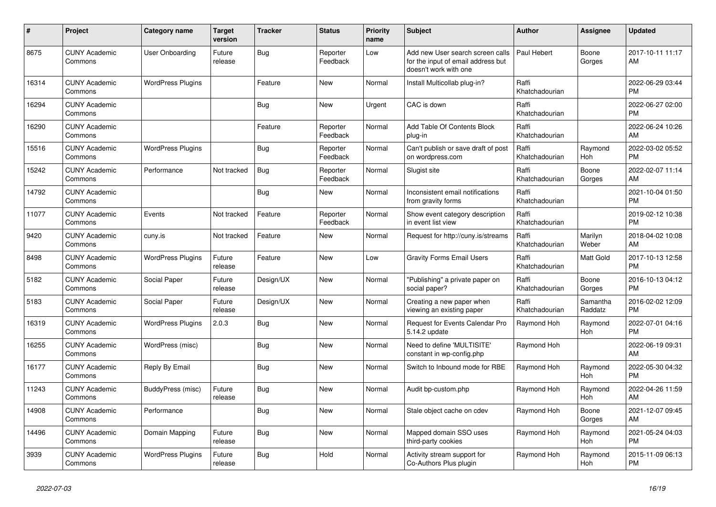| #     | <b>Project</b>                  | Category name            | <b>Target</b><br>version | <b>Tracker</b> | <b>Status</b>        | <b>Priority</b><br>name | <b>Subject</b>                                                                                  | <b>Author</b>           | Assignee            | <b>Updated</b>                |
|-------|---------------------------------|--------------------------|--------------------------|----------------|----------------------|-------------------------|-------------------------------------------------------------------------------------------------|-------------------------|---------------------|-------------------------------|
| 8675  | <b>CUNY Academic</b><br>Commons | User Onboarding          | Future<br>release        | Bug            | Reporter<br>Feedback | Low                     | Add new User search screen calls<br>for the input of email address but<br>doesn't work with one | Paul Hebert             | Boone<br>Gorges     | 2017-10-11 11:17<br>AM        |
| 16314 | <b>CUNY Academic</b><br>Commons | <b>WordPress Plugins</b> |                          | Feature        | <b>New</b>           | Normal                  | Install Multicollab plug-in?                                                                    | Raffi<br>Khatchadourian |                     | 2022-06-29 03:44<br><b>PM</b> |
| 16294 | <b>CUNY Academic</b><br>Commons |                          |                          | Bug            | <b>New</b>           | Urgent                  | CAC is down                                                                                     | Raffi<br>Khatchadourian |                     | 2022-06-27 02:00<br><b>PM</b> |
| 16290 | <b>CUNY Academic</b><br>Commons |                          |                          | Feature        | Reporter<br>Feedback | Normal                  | Add Table Of Contents Block<br>plug-in                                                          | Raffi<br>Khatchadourian |                     | 2022-06-24 10:26<br>AM        |
| 15516 | <b>CUNY Academic</b><br>Commons | <b>WordPress Plugins</b> |                          | Bug            | Reporter<br>Feedback | Normal                  | Can't publish or save draft of post<br>on wordpress.com                                         | Raffi<br>Khatchadourian | Raymond<br>Hoh      | 2022-03-02 05:52<br><b>PM</b> |
| 15242 | <b>CUNY Academic</b><br>Commons | Performance              | Not tracked              | Bug            | Reporter<br>Feedback | Normal                  | Slugist site                                                                                    | Raffi<br>Khatchadourian | Boone<br>Gorges     | 2022-02-07 11:14<br>AM        |
| 14792 | <b>CUNY Academic</b><br>Commons |                          |                          | Bug            | <b>New</b>           | Normal                  | Inconsistent email notifications<br>from gravity forms                                          | Raffi<br>Khatchadourian |                     | 2021-10-04 01:50<br><b>PM</b> |
| 11077 | <b>CUNY Academic</b><br>Commons | Events                   | Not tracked              | Feature        | Reporter<br>Feedback | Normal                  | Show event category description<br>in event list view                                           | Raffi<br>Khatchadourian |                     | 2019-02-12 10:38<br><b>PM</b> |
| 9420  | <b>CUNY Academic</b><br>Commons | cuny.is                  | Not tracked              | Feature        | <b>New</b>           | Normal                  | Request for http://cuny.is/streams                                                              | Raffi<br>Khatchadourian | Marilyn<br>Weber    | 2018-04-02 10:08<br>AM        |
| 8498  | <b>CUNY Academic</b><br>Commons | <b>WordPress Plugins</b> | Future<br>release        | Feature        | <b>New</b>           | Low                     | <b>Gravity Forms Email Users</b>                                                                | Raffi<br>Khatchadourian | Matt Gold           | 2017-10-13 12:58<br><b>PM</b> |
| 5182  | <b>CUNY Academic</b><br>Commons | Social Paper             | Future<br>release        | Design/UX      | New                  | Normal                  | "Publishing" a private paper on<br>social paper?                                                | Raffi<br>Khatchadourian | Boone<br>Gorges     | 2016-10-13 04:12<br><b>PM</b> |
| 5183  | <b>CUNY Academic</b><br>Commons | Social Paper             | Future<br>release        | Design/UX      | <b>New</b>           | Normal                  | Creating a new paper when<br>viewing an existing paper                                          | Raffi<br>Khatchadourian | Samantha<br>Raddatz | 2016-02-02 12:09<br><b>PM</b> |
| 16319 | <b>CUNY Academic</b><br>Commons | <b>WordPress Plugins</b> | 2.0.3                    | Bug            | <b>New</b>           | Normal                  | <b>Request for Events Calendar Pro</b><br>5.14.2 update                                         | Raymond Hoh             | Raymond<br>Hoh      | 2022-07-01 04:16<br><b>PM</b> |
| 16255 | <b>CUNY Academic</b><br>Commons | WordPress (misc)         |                          | Bug            | <b>New</b>           | Normal                  | Need to define 'MULTISITE'<br>constant in wp-config.php                                         | Raymond Hoh             |                     | 2022-06-19 09:31<br>AM        |
| 16177 | <b>CUNY Academic</b><br>Commons | Reply By Email           |                          | <b>Bug</b>     | <b>New</b>           | Normal                  | Switch to Inbound mode for RBE                                                                  | Raymond Hoh             | Raymond<br>Hoh      | 2022-05-30 04:32<br><b>PM</b> |
| 11243 | <b>CUNY Academic</b><br>Commons | BuddyPress (misc)        | Future<br>release        | Bug            | <b>New</b>           | Normal                  | Audit bp-custom.php                                                                             | Raymond Hoh             | Raymond<br>Hoh      | 2022-04-26 11:59<br>AM        |
| 14908 | <b>CUNY Academic</b><br>Commons | Performance              |                          | Bug            | <b>New</b>           | Normal                  | Stale object cache on cdev                                                                      | Raymond Hoh             | Boone<br>Gorges     | 2021-12-07 09:45<br>AM        |
| 14496 | <b>CUNY Academic</b><br>Commons | Domain Mapping           | Future<br>release        | <b>Bug</b>     | New                  | Normal                  | Mapped domain SSO uses<br>third-party cookies                                                   | Raymond Hoh             | Raymond<br>Hoh      | 2021-05-24 04:03<br><b>PM</b> |
| 3939  | <b>CUNY Academic</b><br>Commons | <b>WordPress Plugins</b> | Future<br>release        | <b>Bug</b>     | Hold                 | Normal                  | Activity stream support for<br>Co-Authors Plus plugin                                           | Raymond Hoh             | Raymond<br>Hoh      | 2015-11-09 06:13<br><b>PM</b> |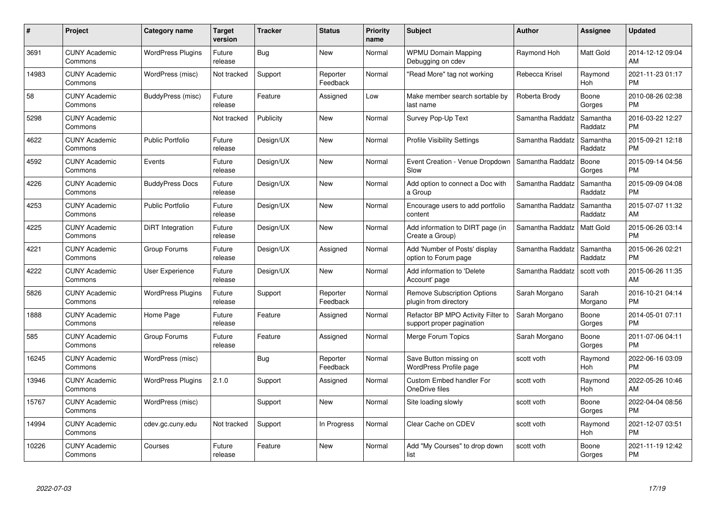| $\#$  | Project                         | <b>Category name</b>     | <b>Target</b><br>version | <b>Tracker</b> | <b>Status</b>        | <b>Priority</b><br>name | <b>Subject</b>                                                  | <b>Author</b>    | Assignee            | <b>Updated</b>                |
|-------|---------------------------------|--------------------------|--------------------------|----------------|----------------------|-------------------------|-----------------------------------------------------------------|------------------|---------------------|-------------------------------|
| 3691  | <b>CUNY Academic</b><br>Commons | <b>WordPress Plugins</b> | Future<br>release        | <b>Bug</b>     | <b>New</b>           | Normal                  | <b>WPMU Domain Mapping</b><br>Debugging on cdev                 | Raymond Hoh      | <b>Matt Gold</b>    | 2014-12-12 09:04<br>AM        |
| 14983 | <b>CUNY Academic</b><br>Commons | WordPress (misc)         | Not tracked              | Support        | Reporter<br>Feedback | Normal                  | "Read More" tag not working                                     | Rebecca Krisel   | Raymond<br>Hoh      | 2021-11-23 01:17<br><b>PM</b> |
| 58    | <b>CUNY Academic</b><br>Commons | BuddyPress (misc)        | Future<br>release        | Feature        | Assigned             | Low                     | Make member search sortable by<br>last name                     | Roberta Brody    | Boone<br>Gorges     | 2010-08-26 02:38<br><b>PM</b> |
| 5298  | <b>CUNY Academic</b><br>Commons |                          | Not tracked              | Publicity      | <b>New</b>           | Normal                  | Survey Pop-Up Text                                              | Samantha Raddatz | Samantha<br>Raddatz | 2016-03-22 12:27<br><b>PM</b> |
| 4622  | <b>CUNY Academic</b><br>Commons | <b>Public Portfolio</b>  | Future<br>release        | Design/UX      | <b>New</b>           | Normal                  | <b>Profile Visibility Settings</b>                              | Samantha Raddatz | Samantha<br>Raddatz | 2015-09-21 12:18<br><b>PM</b> |
| 4592  | <b>CUNY Academic</b><br>Commons | Events                   | Future<br>release        | Design/UX      | <b>New</b>           | Normal                  | Event Creation - Venue Dropdown<br>Slow                         | Samantha Raddatz | Boone<br>Gorges     | 2015-09-14 04:56<br><b>PM</b> |
| 4226  | <b>CUNY Academic</b><br>Commons | <b>BuddyPress Docs</b>   | Future<br>release        | Design/UX      | New                  | Normal                  | Add option to connect a Doc with<br>a Group                     | Samantha Raddatz | Samantha<br>Raddatz | 2015-09-09 04:08<br><b>PM</b> |
| 4253  | <b>CUNY Academic</b><br>Commons | <b>Public Portfolio</b>  | Future<br>release        | Design/UX      | <b>New</b>           | Normal                  | Encourage users to add portfolio<br>content                     | Samantha Raddatz | Samantha<br>Raddatz | 2015-07-07 11:32<br>AM        |
| 4225  | <b>CUNY Academic</b><br>Commons | DiRT Integration         | Future<br>release        | Design/UX      | New                  | Normal                  | Add information to DIRT page (in<br>Create a Group)             | Samantha Raddatz | <b>Matt Gold</b>    | 2015-06-26 03:14<br><b>PM</b> |
| 4221  | <b>CUNY Academic</b><br>Commons | Group Forums             | Future<br>release        | Design/UX      | Assigned             | Normal                  | Add 'Number of Posts' display<br>option to Forum page           | Samantha Raddatz | Samantha<br>Raddatz | 2015-06-26 02:21<br><b>PM</b> |
| 4222  | <b>CUNY Academic</b><br>Commons | <b>User Experience</b>   | Future<br>release        | Design/UX      | <b>New</b>           | Normal                  | Add information to 'Delete<br>Account' page                     | Samantha Raddatz | scott voth          | 2015-06-26 11:35<br>AM        |
| 5826  | <b>CUNY Academic</b><br>Commons | <b>WordPress Plugins</b> | Future<br>release        | Support        | Reporter<br>Feedback | Normal                  | <b>Remove Subscription Options</b><br>plugin from directory     | Sarah Morgano    | Sarah<br>Morgano    | 2016-10-21 04:14<br><b>PM</b> |
| 1888  | <b>CUNY Academic</b><br>Commons | Home Page                | Future<br>release        | Feature        | Assigned             | Normal                  | Refactor BP MPO Activity Filter to<br>support proper pagination | Sarah Morgano    | Boone<br>Gorges     | 2014-05-01 07:11<br><b>PM</b> |
| 585   | <b>CUNY Academic</b><br>Commons | Group Forums             | Future<br>release        | Feature        | Assigned             | Normal                  | Merge Forum Topics                                              | Sarah Morgano    | Boone<br>Gorges     | 2011-07-06 04:11<br><b>PM</b> |
| 16245 | <b>CUNY Academic</b><br>Commons | WordPress (misc)         |                          | <b>Bug</b>     | Reporter<br>Feedback | Normal                  | Save Button missing on<br>WordPress Profile page                | scott voth       | Raymond<br>Hoh      | 2022-06-16 03:09<br><b>PM</b> |
| 13946 | <b>CUNY Academic</b><br>Commons | <b>WordPress Plugins</b> | 2.1.0                    | Support        | Assigned             | Normal                  | <b>Custom Embed handler For</b><br>OneDrive files               | scott voth       | Raymond<br>Hoh      | 2022-05-26 10:46<br>AM        |
| 15767 | <b>CUNY Academic</b><br>Commons | WordPress (misc)         |                          | Support        | New                  | Normal                  | Site loading slowly                                             | scott voth       | Boone<br>Gorges     | 2022-04-04 08:56<br><b>PM</b> |
| 14994 | <b>CUNY Academic</b><br>Commons | cdev.gc.cuny.edu         | Not tracked              | Support        | In Progress          | Normal                  | Clear Cache on CDEV                                             | scott voth       | Raymond<br>Hoh      | 2021-12-07 03:51<br><b>PM</b> |
| 10226 | CUNY Academic<br>Commons        | Courses                  | Future<br>release        | Feature        | <b>New</b>           | Normal                  | Add "My Courses" to drop down<br>list                           | scott voth       | Boone<br>Gorges     | 2021-11-19 12:42<br><b>PM</b> |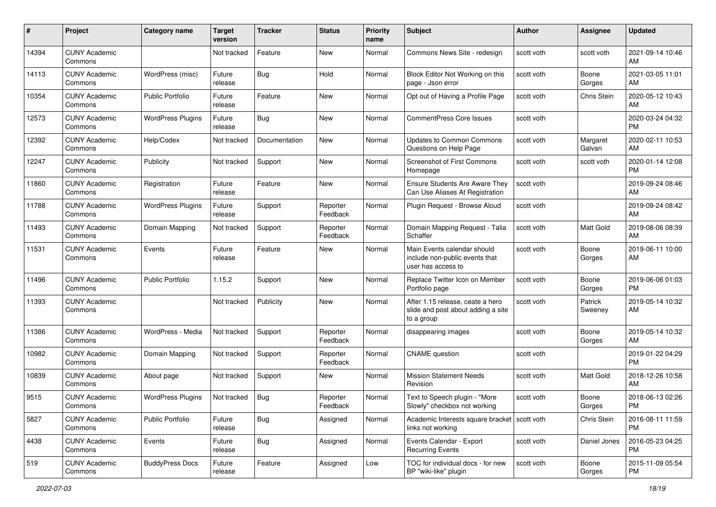| #     | Project                         | <b>Category name</b>     | <b>Target</b><br>version | Tracker       | <b>Status</b>        | <b>Priority</b><br>name | <b>Subject</b>                                                                       | Author     | <b>Assignee</b>    | <b>Updated</b>                |
|-------|---------------------------------|--------------------------|--------------------------|---------------|----------------------|-------------------------|--------------------------------------------------------------------------------------|------------|--------------------|-------------------------------|
| 14394 | <b>CUNY Academic</b><br>Commons |                          | Not tracked              | Feature       | New                  | Normal                  | Commons News Site - redesign                                                         | scott voth | scott voth         | 2021-09-14 10:46<br>AM        |
| 14113 | <b>CUNY Academic</b><br>Commons | WordPress (misc)         | Future<br>release        | Bug           | Hold                 | Normal                  | Block Editor Not Working on this<br>page - Json error                                | scott voth | Boone<br>Gorges    | 2021-03-05 11:01<br>AM.       |
| 10354 | <b>CUNY Academic</b><br>Commons | Public Portfolio         | Future<br>release        | Feature       | New                  | Normal                  | Opt out of Having a Profile Page                                                     | scott voth | Chris Stein        | 2020-05-12 10:43<br>AM.       |
| 12573 | <b>CUNY Academic</b><br>Commons | <b>WordPress Plugins</b> | Future<br>release        | Bug           | New                  | Normal                  | <b>CommentPress Core Issues</b>                                                      | scott voth |                    | 2020-03-24 04:32<br><b>PM</b> |
| 12392 | <b>CUNY Academic</b><br>Commons | Help/Codex               | Not tracked              | Documentation | New                  | Normal                  | <b>Updates to Common Commons</b><br>Questions on Help Page                           | scott voth | Margaret<br>Galvan | 2020-02-11 10:53<br>AM        |
| 12247 | <b>CUNY Academic</b><br>Commons | Publicity                | Not tracked              | Support       | New                  | Normal                  | Screenshot of First Commons<br>Homepage                                              | scott voth | scott voth         | 2020-01-14 12:08<br>PM.       |
| 11860 | <b>CUNY Academic</b><br>Commons | Registration             | Future<br>release        | Feature       | New                  | Normal                  | <b>Ensure Students Are Aware They</b><br>Can Use Aliases At Registration             | scott voth |                    | 2019-09-24 08:46<br>AM.       |
| 11788 | <b>CUNY Academic</b><br>Commons | <b>WordPress Plugins</b> | Future<br>release        | Support       | Reporter<br>Feedback | Normal                  | Plugin Request - Browse Aloud                                                        | scott voth |                    | 2019-09-24 08:42<br>AM.       |
| 11493 | <b>CUNY Academic</b><br>Commons | Domain Mapping           | Not tracked              | Support       | Reporter<br>Feedback | Normal                  | Domain Mapping Request - Talia<br>Schaffer                                           | scott voth | <b>Matt Gold</b>   | 2019-08-06 08:39<br>AM        |
| 11531 | <b>CUNY Academic</b><br>Commons | Events                   | Future<br>release        | Feature       | New                  | Normal                  | Main Events calendar should<br>include non-public events that<br>user has access to  | scott voth | Boone<br>Gorges    | 2019-06-11 10:00<br>AM        |
| 11496 | <b>CUNY Academic</b><br>Commons | <b>Public Portfolio</b>  | 1.15.2                   | Support       | New                  | Normal                  | Replace Twitter Icon on Member<br>Portfolio page                                     | scott voth | Boone<br>Gorges    | 2019-06-06 01:03<br><b>PM</b> |
| 11393 | <b>CUNY Academic</b><br>Commons |                          | Not tracked              | Publicity     | New                  | Normal                  | After 1.15 release, ceate a hero<br>slide and post about adding a site<br>to a group | scott voth | Patrick<br>Sweeney | 2019-05-14 10:32<br>AM        |
| 11386 | <b>CUNY Academic</b><br>Commons | WordPress - Media        | Not tracked              | Support       | Reporter<br>Feedback | Normal                  | disappearing images                                                                  | scott voth | Boone<br>Gorges    | 2019-05-14 10:32<br>AM        |
| 10982 | <b>CUNY Academic</b><br>Commons | Domain Mapping           | Not tracked              | Support       | Reporter<br>Feedback | Normal                  | <b>CNAME</b> question                                                                | scott voth |                    | 2019-01-22 04:29<br><b>PM</b> |
| 10839 | <b>CUNY Academic</b><br>Commons | About page               | Not tracked              | Support       | New                  | Normal                  | <b>Mission Statement Needs</b><br>Revision                                           | scott voth | Matt Gold          | 2018-12-26 10:58<br>AM.       |
| 9515  | <b>CUNY Academic</b><br>Commons | <b>WordPress Plugins</b> | Not tracked              | Bug           | Reporter<br>Feedback | Normal                  | Text to Speech plugin - "More<br>Slowly" checkbox not working                        | scott voth | Boone<br>Gorges    | 2018-06-13 02:26<br>PM        |
| 5827  | <b>CUNY Academic</b><br>Commons | <b>Public Portfolio</b>  | Future<br>release        | Bug           | Assigned             | Normal                  | Academic Interests square bracket   scott voth<br>links not working                  |            | Chris Stein        | 2016-08-11 11:59<br><b>PM</b> |
| 4438  | <b>CUNY Academic</b><br>Commons | Events                   | Future<br>release        | <b>Bug</b>    | Assigned             | Normal                  | Events Calendar - Export<br><b>Recurring Events</b>                                  | scott voth | Daniel Jones       | 2016-05-23 04:25<br><b>PM</b> |
| 519   | <b>CUNY Academic</b><br>Commons | <b>BuddyPress Docs</b>   | Future<br>release        | Feature       | Assigned             | Low                     | TOC for individual docs - for new<br>BP "wiki-like" plugin                           | scott voth | Boone<br>Gorges    | 2015-11-09 05:54<br><b>PM</b> |